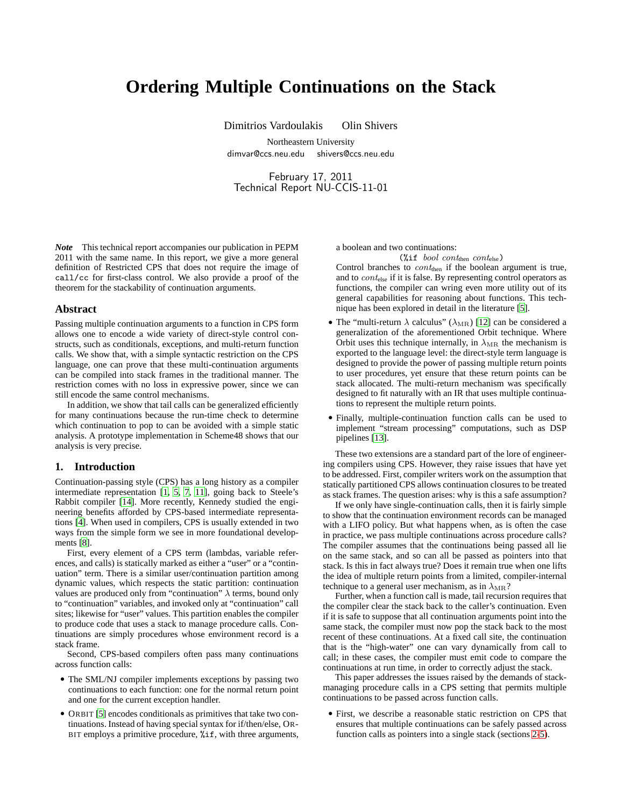# **Ordering Multiple Continuations on the Stack**

Dimitrios Vardoulakis Olin Shivers

Northeastern University dimvar@ccs.neu.edu shivers@ccs.neu.edu

February 17, 2011 Technical Report NU-CCIS-11-01

*Note* This technical report accompanies our publication in PEPM 2011 with the same name. In this report, we give a more general definition of Restricted CPS that does not require the image of call/cc for first-class control. We also provide a proof of the theorem for the stackability of continuation arguments.

## **Abstract**

Passing multiple continuation arguments to a function in CPS form allows one to encode a wide variety of direct-style control constructs, such as conditionals, exceptions, and multi-return function calls. We show that, with a simple syntactic restriction on the CPS language, one can prove that these multi-continuation arguments can be compiled into stack frames in the traditional manner. The restriction comes with no loss in expressive power, since we can still encode the same control mechanisms.

In addition, we show that tail calls can be generalized efficiently for many continuations because the run-time check to determine which continuation to pop to can be avoided with a simple static analysis. A prototype implementation in Scheme48 shows that our analysis is very precise.

## **1. Introduction**

Continuation-passing style (CPS) has a long history as a compiler intermediate representation [\[1,](#page-9-0) [5](#page-9-1), [7,](#page-9-2) [11\]](#page-9-3), going back to Steele's Rabbit compiler [\[14\]](#page-9-4). More recently, Kennedy studied the engineering benefits afforded by CPS-based intermediate representations [\[4](#page-9-5)]. When used in compilers, CPS is usually extended in two ways from the simple form we see in more foundational developments [\[8](#page-9-6)].

First, every element of a CPS term (lambdas, variable references, and calls) is statically marked as either a "user" or a "continuation" term. There is a similar user/continuation partition among dynamic values, which respects the static partition: continuation values are produced only from "continuation"  $\lambda$  terms, bound only to "continuation" variables, and invoked only at "continuation" call sites; likewise for "user" values. This partition enables the compiler to produce code that uses a stack to manage procedure calls. Continuations are simply procedures whose environment record is a stack frame.

Second, CPS-based compilers often pass many continuations across function calls:

- The SML/NJ compiler implements exceptions by passing two continuations to each function: one for the normal return point and one for the current exception handler.
- ORBIT [\[5](#page-9-1)] encodes conditionals as primitives that take two continuations. Instead of having special syntax for if/then/else, OR-BIT employs a primitive procedure,  $\frac{1}{2}$  if, with three arguments,

a boolean and two continuations:

 $(\lambda if \ bool \ cont_{then} \ cont_{else})$ 

Control branches to  $cont_{then}$  if the boolean argument is true, and to contelse if it is false. By representing control operators as functions, the compiler can wring even more utility out of its general capabilities for reasoning about functions. This technique has been explored in detail in the literature [\[5\]](#page-9-1).

- The "multi-return  $\lambda$  calculus" ( $\lambda_{MR}$ ) [\[12\]](#page-9-7) can be considered a generalization of the aforementioned Orbit technique. Where Orbit uses this technique internally, in  $\lambda_{MR}$  the mechanism is exported to the language level: the direct-style term language is designed to provide the power of passing multiple return points to user procedures, yet ensure that these return points can be stack allocated. The multi-return mechanism was specifically designed to fit naturally with an IR that uses multiple continuations to represent the multiple return points.
- Finally, multiple-continuation function calls can be used to implement "stream processing" computations, such as DSP pipelines [\[13\]](#page-9-8).

These two extensions are a standard part of the lore of engineering compilers using CPS. However, they raise issues that have yet to be addressed. First, compiler writers work on the assumption that statically partitioned CPS allows continuation closures to be treated as stack frames. The question arises: why is this a safe assumption?

If we only have single-continuation calls, then it is fairly simple to show that the continuation environment records can be managed with a LIFO policy. But what happens when, as is often the case in practice, we pass multiple continuations across procedure calls? The compiler assumes that the continuations being passed all lie on the same stack, and so can all be passed as pointers into that stack. Is this in fact always true? Does it remain true when one lifts the idea of multiple return points from a limited, compiler-internal technique to a general user mechanism, as in  $\lambda_{MR}$ ?

Further, when a function call is made, tail recursion requires that the compiler clear the stack back to the caller's continuation. Even if it is safe to suppose that all continuation arguments point into the same stack, the compiler must now pop the stack back to the most recent of these continuations. At a fixed call site, the continuation that is the "high-water" one can vary dynamically from call to call; in these cases, the compiler must emit code to compare the continuations at run time, in order to correctly adjust the stack.

This paper addresses the issues raised by the demands of stackmanaging procedure calls in a CPS setting that permits multiple continuations to be passed across function calls.

• First, we describe a reasonable static restriction on CPS that ensures that multiple continuations can be safely passed across function calls as pointers into a single stack (sections [2-](#page-1-0)[5\)](#page-2-0).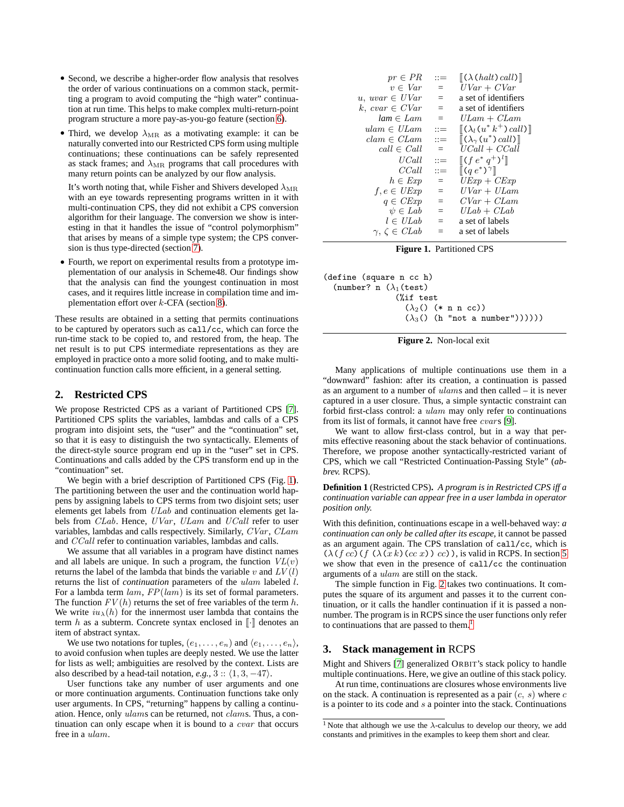- Second, we describe a higher-order flow analysis that resolves the order of various continuations on a common stack, permitting a program to avoid computing the "high water" continuation at run time. This helps to make complex multi-return-point program structure a more pay-as-you-go feature (section [6\)](#page-4-0).
- Third, we develop  $\lambda_{MR}$  as a motivating example: it can be naturally converted into our Restricted CPS form using multiple continuations; these continuations can be safely represented as stack frames; and  $\lambda_{MR}$  programs that call procedures with many return points can be analyzed by our flow analysis.

It's worth noting that, while Fisher and Shivers developed  $\lambda_{MR}$ with an eye towards representing programs written in it with multi-continuation CPS, they did not exhibit a CPS conversion algorithm for their language. The conversion we show is interesting in that it handles the issue of "control polymorphism" that arises by means of a simple type system; the CPS conversion is thus type-directed (section [7\)](#page-5-0).

• Fourth, we report on experimental results from a prototype implementation of our analysis in Scheme48. Our findings show that the analysis can find the youngest continuation in most cases, and it requires little increase in compilation time and implementation effort over  $k$ -CFA (section [8\)](#page-8-0).

These results are obtained in a setting that permits continuations to be captured by operators such as call/cc, which can force the run-time stack to be copied to, and restored from, the heap. The net result is to put CPS intermediate representations as they are employed in practice onto a more solid footing, and to make multicontinuation function calls more efficient, in a general setting.

## <span id="page-1-0"></span>**2. Restricted CPS**

We propose Restricted CPS as a variant of Partitioned CPS [\[7\]](#page-9-2). Partitioned CPS splits the variables, lambdas and calls of a CPS program into disjoint sets, the "user" and the "continuation" set, so that it is easy to distinguish the two syntactically. Elements of the direct-style source program end up in the "user" set in CPS. Continuations and calls added by the CPS transform end up in the "continuation" set.

We begin with a brief description of Partitioned CPS (Fig. [1\)](#page-1-1). The partitioning between the user and the continuation world happens by assigning labels to CPS terms from two disjoint sets; user elements get labels from ULab and continuation elements get labels from CLab. Hence, UVar, ULam and UCall refer to user variables, lambdas and calls respectively. Similarly, CVar, CLam and CCall refer to continuation variables, lambdas and calls.

We assume that all variables in a program have distinct names and all labels are unique. In such a program, the function  $VL(v)$ returns the label of the lambda that binds the variable v and  $LV(l)$ returns the list of *continuation* parameters of the ulam labeled l. For a lambda term  $lam$ ,  $FP(lam)$  is its set of formal parameters. The function  $FV(h)$  returns the set of free variables of the term h. We write  $iu_{\lambda}(h)$  for the innermost user lambda that contains the term  $h$  as a subterm. Concrete syntax enclosed in  $\llbracket \cdot \rrbracket$  denotes an item of abstract syntax.

We use two notations for tuples,  $(e_1, \ldots, e_n)$  and  $\langle e_1, \ldots, e_n \rangle$ , to avoid confusion when tuples are deeply nested. We use the latter for lists as well; ambiguities are resolved by the context. Lists are also described by a head-tail notation, *e.g.*,  $3$  ::  $\langle 1, 3, -47 \rangle$ .

User functions take any number of user arguments and one or more continuation arguments. Continuation functions take only user arguments. In CPS, "returning" happens by calling a continuation. Hence, only ulams can be returned, not clams. Thus, a continuation can only escape when it is bound to a cvar that occurs free in a ulam.

| $pr \in PR$        | $::=$ | $\llbracket (\lambda \text{ (halt) call)} \rrbracket$        |
|--------------------|-------|--------------------------------------------------------------|
| $v \in Var$        | $=$   | $UVar + CVar$                                                |
| $u, uvar \in UVar$ | $=$   | a set of identifiers                                         |
| k, cvar $\in$ CVar | =     | a set of identifiers                                         |
| $lam \in Lam$      | =     | $ULam + CLam$                                                |
| $ulam \in ULam$    | $::=$ | $\llbracket (\lambda_l(u^*\,k^+) \, \text{call}) \rrbracket$ |
| $clam \in CLam$    | $::=$ | $\left[ (\lambda_{\gamma}(u^*)$ call) $\right]$              |
| $call \in Call$    | $=$   | $UCall + CCall$                                              |
|                    |       |                                                              |
| UCall              | $::=$ | $\llbracket (f e^* q^+)^l \rrbracket$                        |
| CCall              | $::=$ | $\left[ \left( q\,e^{\ast }\right) ^{\gamma }\right]$        |
| $h \in Exp$        | $=$   | $UExp + CExp$                                                |
| $f, e \in UExp$    | $=$   | $UVar + ULam$                                                |
| $q \in CExp$       | $=$   | $CVar + CLam$                                                |
| $\psi \in Lab$     | $=$   | $ULab + CLab$                                                |
| $l \in ULab$       | =     | a set of labels                                              |

<span id="page-1-1"></span>**Figure 1.** Partitioned CPS

(define (square n cc h) (number? n  $(\lambda_1$ (test) (%if test  $(\lambda_2()$  (\* n n cc))  $(\lambda_3()$  (h "not a number"))))))

<span id="page-1-2"></span>

Many applications of multiple continuations use them in a "downward" fashion: after its creation, a continuation is passed as an argument to a number of ulams and then called – it is never captured in a user closure. Thus, a simple syntactic constraint can forbid first-class control: a ulam may only refer to continuations from its list of formals, it cannot have free cvars [\[9\]](#page-9-9).

We want to allow first-class control, but in a way that permits effective reasoning about the stack behavior of continuations. Therefore, we propose another syntactically-restricted variant of CPS, which we call "Restricted Continuation-Passing Style" (*abbrev.* RCPS).

**Definition 1** (Restricted CPS)**.** *A program is in Restricted CPS iff a continuation variable can appear free in a user lambda in operator position only.*

With this definition, continuations escape in a well-behaved way: *a continuation can only be called after its escape,* it cannot be passed as an argument again. The CPS translation of call/cc, which is  $(\lambda(f \ncolant(c) (f (\lambda(x k) (c c x)) c c))$ , is valid in RCPS. In section [5](#page-2-0) we show that even in the presence of call/cc the continuation arguments of a ulam are still on the stack.

The simple function in Fig. [2](#page-1-2) takes two continuations. It computes the square of its argument and passes it to the current continuation, or it calls the handler continuation if it is passed a nonnumber. The program is in RCPS since the user functions only refer to continuations that are passed to them.<sup>[1](#page-1-3)</sup>

## **3. Stack management in** RCPS

Might and Shivers [\[7\]](#page-9-2) generalized ORBIT's stack policy to handle multiple continuations. Here, we give an outline of this stack policy.

At run time, continuations are closures whose environments live on the stack. A continuation is represented as a pair  $(c, s)$  where  $c$ is a pointer to its code and s a pointer into the stack. Continuations

<span id="page-1-3"></span><sup>&</sup>lt;sup>1</sup> Note that although we use the  $\lambda$ -calculus to develop our theory, we add constants and primitives in the examples to keep them short and clear.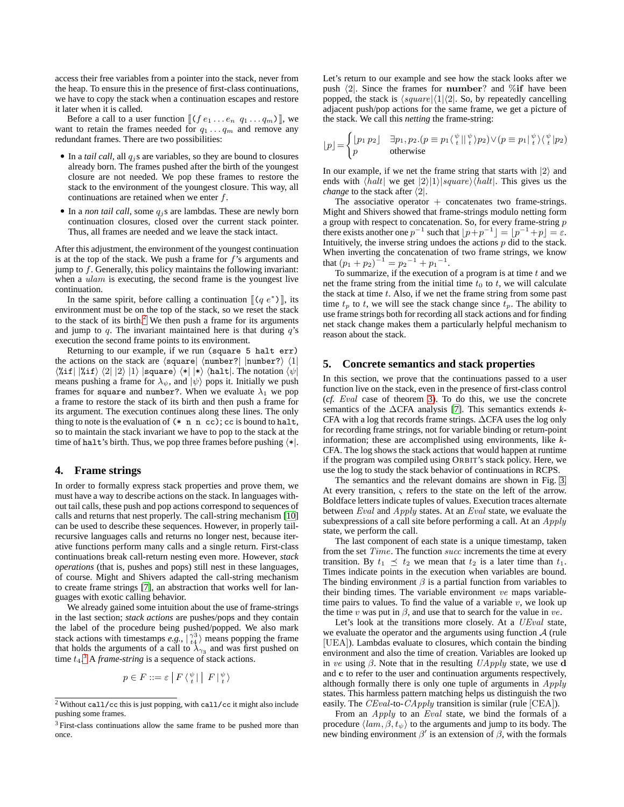access their free variables from a pointer into the stack, never from the heap. To ensure this in the presence of first-class continuations, we have to copy the stack when a continuation escapes and restore it later when it is called.

Before a call to a user function  $[(f e_1 ... e_n q_1 ... q_m)]$ , we want to retain the frames needed for  $q_1 \ldots q_m$  and remove any redundant frames. There are two possibilities:

- In a *tail call*, all  $q_j$  s are variables, so they are bound to closures already born. The frames pushed after the birth of the youngest closure are not needed. We pop these frames to restore the stack to the environment of the youngest closure. This way, all continuations are retained when we enter  $f$ .
- In a *non tail call*, some  $q_j$  s are lambdas. These are newly born continuation closures, closed over the current stack pointer. Thus, all frames are needed and we leave the stack intact.

After this adjustment, the environment of the youngest continuation is at the top of the stack. We push a frame for  $f$ 's arguments and jump to  $f$ . Generally, this policy maintains the following invariant: when a *ulam* is executing, the second frame is the youngest live continuation.

In the same spirit, before calling a continuation  $[(q e^*)]$ , its environment must be on the top of the stack, so we reset the stack to the stack of its birth. $2$  We then push a frame for its arguments and jump to  $q$ . The invariant maintained here is that during  $q$ 's execution the second frame points to its environment.

Returning to our example, if we run (square 5 halt err) the actions on the stack are  $\langle$  square $| \langle$ number? $|$   $|$ number? $\rangle$   $\langle 1|$  $\langle$ %if| |%if)  $\langle 2|$   $|2 \rangle$  |1) |square)  $\langle *|$  |\*)  $\langle$  halt|. The notation  $\langle \psi|$ means pushing a frame for  $\lambda_{\psi}$ , and  $|\psi\rangle$  pops it. Initially we push frames for square and number?. When we evaluate  $\lambda_1$  we pop a frame to restore the stack of its birth and then push a frame for its argument. The execution continues along these lines. The only thing to note is the evaluation of  $(* n n cc)$ ; cc is bound to halt, so to maintain the stack invariant we have to pop to the stack at the time of halt's birth. Thus, we pop three frames before pushing  $\langle * |$ .

## **4. Frame strings**

In order to formally express stack properties and prove them, we must have a way to describe actions on the stack. In languages without tail calls, these push and pop actions correspond to sequences of calls and returns that nest properly. The call-string mechanism [\[10](#page-9-10)] can be used to describe these sequences. However, in properly tailrecursive languages calls and returns no longer nest, because iterative functions perform many calls and a single return. First-class continuations break call-return nesting even more. However, *stack operations* (that is, pushes and pops) still nest in these languages, of course. Might and Shivers adapted the call-string mechanism to create frame strings [\[7\]](#page-9-2), an abstraction that works well for languages with exotic calling behavior.

We already gained some intuition about the use of frame-strings in the last section; *stack actions* are pushes/pops and they contain the label of the procedure being pushed/popped. We also mark stack actions with timestamps *e.g.*,  $\begin{bmatrix} \gamma^3 \\ t_4 \end{bmatrix}$  means popping the frame that holds the arguments of a call to  $\lambda_{\gamma_3}$  and was first pushed on time  $t_4$ <sup>[3](#page-2-2)</sup> A *frame-string* is a sequence of stack actions.

$$
p \in F ::= \varepsilon \left| F \left\langle \frac{\psi}{t} \right| \middle| F \left| \frac{\psi}{t} \right\rangle \right|
$$

Let's return to our example and see how the stack looks after we push  $\langle 2|$ . Since the frames for number? and  $\%$ if have been popped, the stack is  $\langle square|\langle 1|\langle 2|.$  So, by repeatedly cancelling adjacent push/pop actions for the same frame, we get a picture of the stack. We call this *netting* the frame-string:

$$
\lfloor p \rfloor = \begin{cases} \lfloor p_1 \ p_2 \rfloor & \exists p_1, p_2. (p \equiv p_1 \langle \sqrt[p]{\frac{p}{t}} \mid \mid \sqrt[p]{t} \rangle p_2) \vee (p \equiv p_1 \mid \sqrt[p]{t} \setminus \langle \sqrt[p]{t} \mid p_2) \\ p & \text{otherwise} \end{cases}
$$

In our example, if we net the frame string that starts with  $|2\rangle$  and ends with  $\langle halt |$  we get  $|2\rangle|1\rangle|square\rangle\langle halt|$ . This gives us the *change* to the stack after  $\langle 2|$ .

The associative operator  $+$  concatenates two frame-strings. Might and Shivers showed that frame-strings modulo netting form a group with respect to concatenation. So, for every frame-string p there exists another one  $p^{-1}$  such that  $|p+p^{-1}| = |p^{-1}+p| = \varepsilon$ . Intuitively, the inverse string undoes the actions  $p$  did to the stack. When inverting the concatenation of two frame strings, we know that  $(p_1 + p_2)^{-1} = p_2^{-1} + p_1^{-1}$ .

To summarize, if the execution of a program is at time  $t$  and we net the frame string from the initial time  $t_0$  to  $t$ , we will calculate the stack at time  $t$ . Also, if we net the frame string from some past time  $t_p$  to t, we will see the stack change since  $t_p$ . The ability to use frame strings both for recording all stack actions and for finding net stack change makes them a particularly helpful mechanism to reason about the stack.

## <span id="page-2-0"></span>**5. Concrete semantics and stack properties**

In this section, we prove that the continuations passed to a user function live on the stack, even in the presence of first-class control (*cf.* Eval case of theorem [3\)](#page-3-0). To do this, we use the concrete semantics of the ∆CFA analysis [\[7](#page-9-2)]. This semantics extends *k*-CFA with a log that records frame strings. ∆CFA uses the log only for recording frame strings, not for variable binding or return-point information; these are accomplished using environments, like *k*-CFA. The log shows the stack actions that would happen at runtime if the program was compiled using ORBIT's stack policy. Here, we use the log to study the stack behavior of continuations in RCPS.

The semantics and the relevant domains are shown in Fig. [3.](#page-3-1) At every transition,  $\varsigma$  refers to the state on the left of the arrow. Boldface letters indicate tuples of values. Execution traces alternate between Eval and Apply states. At an Eval state, we evaluate the subexpressions of a call site before performing a call. At an  $Apply$ state, we perform the call.

The last component of each state is a unique timestamp, taken from the set *Time*. The function *succ* increments the time at every transition. By  $t_1 \prec t_2$  we mean that  $t_2$  is a later time than  $t_1$ . Times indicate points in the execution when variables are bound. The binding environment  $\beta$  is a partial function from variables to their binding times. The variable environment  $ve$  maps variabletime pairs to values. To find the value of a variable  $v$ , we look up the time v was put in  $\beta$ , and use that to search for the value in ve.

Let's look at the transitions more closely. At a *UEval* state, we evaluate the operator and the arguments using function  $A$  (rule [UEA]). Lambdas evaluate to closures, which contain the binding environment and also the time of creation. Variables are looked up in ve using  $\beta$ . Note that in the resulting UApply state, we use d and c to refer to the user and continuation arguments respectively, although formally there is only one tuple of arguments in  $Apply$ states. This harmless pattern matching helps us distinguish the two easily. The *CEval*-to-*CApply* transition is similar (rule [CEA]).

From an *Apply* to an *Eval* state, we bind the formals of a procedure  $\langle \text{lam}, \beta, t_{\psi} \rangle$  to the arguments and jump to its body. The new binding environment  $\beta'$  is an extension of  $\beta$ , with the formals

<span id="page-2-1"></span><sup>2</sup> Without call/cc this is just popping, with call/cc it might also include pushing some frames.

<span id="page-2-2"></span><sup>&</sup>lt;sup>3</sup> First-class continuations allow the same frame to be pushed more than once.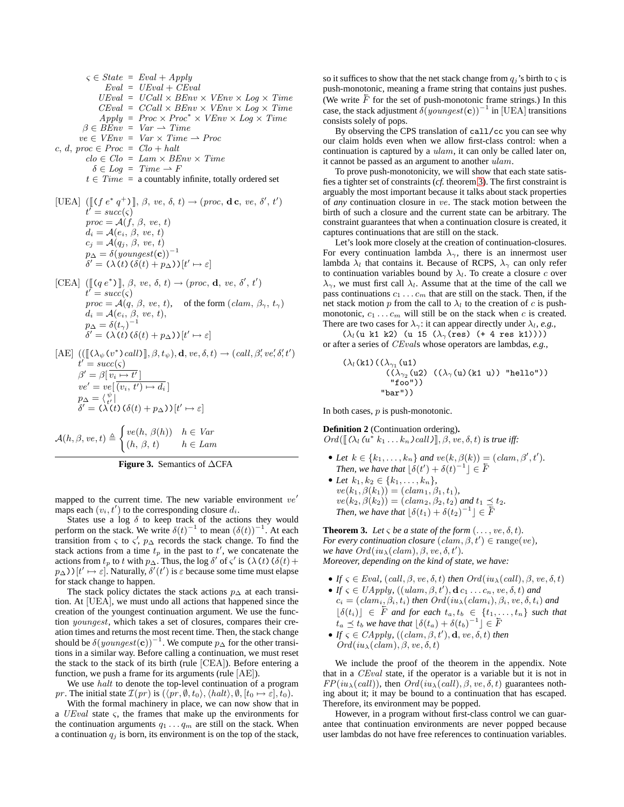$$
\varsigma \in State =Eval + Apply
$$
\n
$$
Eval = UEval + CEual
$$
\n
$$
UEual = UCall \times BEnv \times VEnv \times Log \times Time
$$
\n
$$
CEval = CCall \times BEnv \times VEnv \times Log \times Time
$$
\n
$$
Apply = Proc \times Proc^* \times VEnv \times Log \times Time
$$
\n
$$
\beta \in BEnv = Var \rightarrow Time
$$
\n
$$
ve \in VEnv = Var \times Time
$$
\n
$$
c, d, proc \in Proc = Clo + halt
$$
\n
$$
clc \in Log = Time \rightarrow FP
$$
\n
$$
c = Low + L
$$
\n
$$
c = Log = Time \rightarrow FP
$$
\n
$$
t \in Time = \text{a countably infinite, totally ordered set}
$$
\n[UEA] ([[(f e^\* q^+)], \beta, ve, \delta, t) \rightarrow (proc, d, ve, \delta', t')\n
$$
t' = succ(\varsigma)
$$
\n
$$
proc = A(f, \beta, ve, t)
$$
\n
$$
c_j = A(q_j, \beta, ve, t)
$$
\n
$$
c_j = A(q_j, \beta, ve, t)
$$
\n
$$
p_{\Delta} = \delta(youngest(c))^{-1}
$$
\n
$$
\delta' = (\lambda(t) (\delta(t) + p_{\Delta})) [t' \mapsto \varepsilon]
$$
\n[CEA] ([[Q e^\*)], \beta, ve, \delta, t) \rightarrow (proc, d, ve, \delta', t')\n
$$
t' = succ(\varsigma)
$$
\n
$$
proc = A(q, \beta, ve, t), \quad \text{of the form } (clam, \beta_{\gamma}, t_{\gamma})
$$
\n
$$
d_i = A(e_i, \beta, ve, t), \quad p_{\Delta} = \delta(t_{\gamma})^{-1}
$$
\n
$$
\delta' = (\lambda(t) (\delta(t) + p_{\Delta})) [t' \mapsto \varepsilon]
$$
\n[AE] (([[\Delta\_{\psi}(v^\*) call]], \beta, t\_{\psi}), d, ve, \delta, t) \rightarrow (call, \beta, ve', \delta', t')\n
$$
t' = succ(\varsigma)
$$
\n
$$
\beta' = \beta[v_i \mapsto t]
$$
\n
$$
ve' = ve[(v_i, t') \mapsto d_i]
$$
\n
$$
p_{\Delta} = \langle \psi |
$$

$$
\mathcal{A}(h, \beta, ve, t) \triangleq \begin{cases} ve(h, \beta(h)) & h \in Var \\ (h, \beta, t) & h \in Lam \end{cases}
$$

<span id="page-3-1"></span>**Figure 3.** Semantics of ∆CFA

mapped to the current time. The new variable environment  $ve'$ maps each  $(v_i, t')$  to the corresponding closure  $d_i$ .

States use a log  $\delta$  to keep track of the actions they would perform on the stack. We write  $\delta(t)^{-1}$  to mean  $(\delta(t))^{-1}$ . At each transition from  $\zeta$  to  $\zeta'$ ,  $p_{\Delta}$  records the stack change. To find the stack actions from a time  $t_p$  in the past to  $t'$ , we concatenate the actions from  $t_p$  to t with  $p_{\Delta}$ . Thus, the log  $\delta'$  of  $\varsigma'$  is  $(\lambda(t)(\delta(t)+$  $p_{\Delta}$ ))[ $t' \mapsto \varepsilon$ ]. Naturally,  $\delta'(t')$  is  $\varepsilon$  because some time must elapse for stack change to happen.

The stack policy dictates the stack actions  $p_{\Delta}$  at each transition. At [UEA], we must undo all actions that happened since the creation of the youngest continuation argument. We use the function youngest, which takes a set of closures, compares their creation times and returns the most recent time. Then, the stack change should be  $\delta(youngest(c))^{-1}$ . We compute  $p_{\Delta}$  for the other transitions in a similar way. Before calling a continuation, we must reset the stack to the stack of its birth (rule [CEA]). Before entering a function, we push a frame for its arguments (rule [AE]).

We use *halt* to denote the top-level continuation of a program pr. The initial state  $\mathcal{I}(pr)$  is  $(\langle pr, \emptyset, t_0 \rangle, \langle halt \rangle, \emptyset, [t_0 \mapsto \varepsilon], t_0)$ .

With the formal machinery in place, we can now show that in a UEval state  $\varsigma$ , the frames that make up the environments for the continuation arguments  $q_1 \ldots q_m$  are still on the stack. When a continuation  $q_j$  is born, its environment is on the top of the stack,

so it suffices to show that the net stack change from  $q_j$ 's birth to  $\varsigma$  is push-monotonic, meaning a frame string that contains just pushes. (We write  $\overline{F}$  for the set of push-monotonic frame strings.) In this case, the stack adjustment  $\delta(youngest(c))^{-1}$  in [UEA] transitions consists solely of pops.

By observing the CPS translation of call/cc you can see why our claim holds even when we allow first-class control: when a continuation is captured by a ulam, it can only be called later on, it cannot be passed as an argument to another ulam.

To prove push-monotonicity, we will show that each state satisfies a tighter set of constraints (*cf.* theorem [3\)](#page-3-0). The first constraint is arguably the most important because it talks about stack properties of *any* continuation closure in ve. The stack motion between the birth of such a closure and the current state can be arbitrary. The constraint guarantees that when a continuation closure is created, it captures continuations that are still on the stack.

Let's look more closely at the creation of continuation-closures. For every continuation lambda  $\lambda_{\gamma}$ , there is an innermost user lambda  $\lambda_l$  that contains it. Because of RCPS,  $\lambda_{\gamma}$  can only refer to continuation variables bound by  $\lambda_l$ . To create a closure c over  $\lambda_{\gamma}$ , we must first call  $\lambda_{l}$ . Assume that at the time of the call we pass continuations  $c_1 \ldots c_m$  that are still on the stack. Then, if the net stack motion p from the call to  $\lambda_l$  to the creation of c is pushmonotonic,  $c_1 \ldots c_m$  will still be on the stack when c is created. There are two cases for  $\lambda_{\gamma}$ : it can appear directly under  $\lambda_{l}$ , *e.g.*,

( $\lambda_l$ (u k1 k2) (u 15 ( $\lambda_{\gamma}$ (res) (+ 4 res k1)))) or after a series of CEvals whose operators are lambdas, *e.g.*,

$$
(\lambda_l(k1)((\lambda_{\gamma_1}(u1)((\lambda_{\gamma_2}(u2) ((\lambda_{\gamma}(u)(k1 u)) "hello"))"foo"))"bar") )
$$

<span id="page-3-2"></span>In both cases, p is push-monotonic.

**Definition 2** (Continuation ordering)**.**

 $Ord([\![\Lambda_l(u^*\;k_1\ldots k_n)call)]\!,\beta,ve,\delta,t)$  *is true iff:* 

- Let  $k \in \{k_1, ..., k_n\}$  and  $ve(k, \beta(k)) = (clam, \beta', t').$ *Then, we have that*  $\lfloor \delta(t') + \delta(t)^{-1} \rfloor \in \overline{F}$
- Let  $k_1, k_2 \in \{k_1, \ldots, k_n\}$ ,  $ve(k_1, \beta(k_1)) = (clam_1, \beta_1, t_1),$  $ve(k_2, \beta(k_2)) = (clam_2, \beta_2, t_2)$  *and*  $t_1 \leq t_2$ *. Then, we have that*  $\lfloor \delta(t_1) + \delta(t_2)^{-1} \rfloor \in \overline{F}$

<span id="page-3-0"></span>**Theorem 3.** *Let*  $\varsigma$  *be a state of the form*  $(\ldots, ve, \delta, t)$ *. For every continuation closure*  $(clam, \beta, t') \in \text{range}(ve)$ , *we have*  $Ord(iu_{\lambda}(clam), \beta, ve, \delta, t').$ *Moreover, depending on the kind of state, we have:*

- *If*  $\varsigma \in \text{Eval}, (\text{call}, \beta, \text{ve}, \delta, t)$  *then*  $\text{Ord}(iu_\lambda(\text{call}), \beta, \text{ve}, \delta, t)$
- *If*  $\varsigma \in UApply, ((ulam, \beta, t'), \mathbf{d} c_1 \ldots c_n, ve, \delta, t)$  *and*  $c_i = (clam_i, \beta_i, t_i)$  *then*  $Ord(iu_\lambda(clam_i), \beta_i, ve, \delta, t_i)$  *and*  $\lfloor \delta(t_i) \rfloor \in \overline{F}$  and for each  $t_a, t_b \in \{t_1, \ldots, t_n\}$  such that  $t_a \preceq t_b$  we have that  $\lfloor \delta(t_a) + \delta(t_b)^{-1} \rfloor \in \overline{F}$

• If 
$$
\varsigma \in CAPply
$$
,  $((clam, \beta, t'), \mathbf{d}, ve, \delta, t)$  then  
\n $Ord(iu_{\lambda}(clam), \beta, ve, \delta, t)$ 

We include the proof of the theorem in the appendix. Note that in a CEval state, if the operator is a variable but it is not in  $FP(iu_{\lambda}(call))$ , then  $Ord(iu_{\lambda}(call), \beta, ve, \delta, t)$  guarantees nothing about it; it may be bound to a continuation that has escaped. Therefore, its environment may be popped.

However, in a program without first-class control we can guarantee that continuation environments are never popped because user lambdas do not have free references to continuation variables.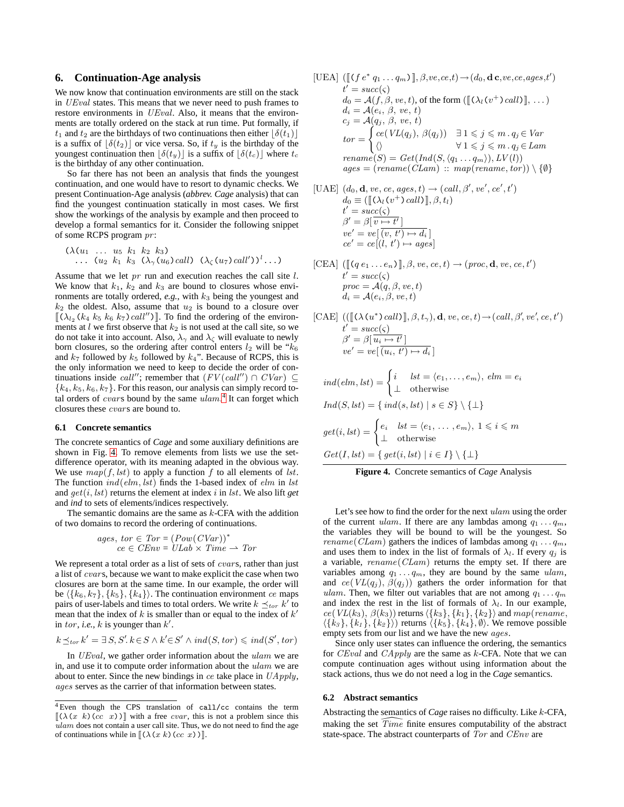# <span id="page-4-0"></span>**6. Continuation-Age analysis**

We now know that continuation environments are still on the stack in UEval states. This means that we never need to push frames to restore environments in *UEval*. Also, it means that the environments are totally ordered on the stack at run time. Put formally, if  $t_1$  and  $t_2$  are the birthdays of two continuations then either  $\lfloor \delta(t_1) \rfloor$ is a suffix of  $\lbrack \delta(t_2) \rbrack$  or vice versa. So, if  $t_y$  is the birthday of the youngest continuation then  $|\delta(t_y)|$  is a suffix of  $|\delta(t_c)|$  where  $t_c$ is the birthday of any other continuation.

So far there has not been an analysis that finds the youngest continuation, and one would have to resort to dynamic checks. We present Continuation-Age analysis (*abbrev. Cage* analysis) that can find the youngest continuation statically in most cases. We first show the workings of the analysis by example and then proceed to develop a formal semantics for it. Consider the following snippet of some RCPS program pr:

$$
(\lambda(u_1 \ldots u_5 k_1 k_2 k_3) \ldots (u_2 k_1 k_3 (\lambda_7(u_6) call) (\lambda_7(u_7) call'))^l \ldots)
$$

Assume that we let pr run and execution reaches the call site l. We know that  $k_1$ ,  $k_2$  and  $k_3$  are bound to closures whose environments are totally ordered,  $e.g.,$  with  $k_3$  being the youngest and  $k_2$  the oldest. Also, assume that  $u_2$  is bound to a closure over  $[(\lambda_{l_2} (k_4 k_5 k_6 k_7) call'')]$ . To find the ordering of the environments at  $l$  we first observe that  $k_2$  is not used at the call site, so we do not take it into account. Also,  $\lambda_{\gamma}$  and  $\lambda_{\zeta}$  will evaluate to newly born closures, so the ordering after control enters  $l_2$  will be " $k_6$ " and  $k_7$  followed by  $k_5$  followed by  $k_4$ ". Because of RCPS, this is the only information we need to keep to decide the order of continuations inside call''; remember that  $(FV(call'') \cap CVar) \subseteq$  ${k_4, k_5, k_6, k_7}$ . For this reason, our analysis can simply record total orders of *cvars* bound by the same  $ulam$ <sup>[4](#page-4-1)</sup>. It can forget which closures these cvars are bound to.

#### **6.1 Concrete semantics**

The concrete semantics of *Cage* and some auxiliary definitions are shown in Fig. [4.](#page-4-2) To remove elements from lists we use the setdifference operator, with its meaning adapted in the obvious way. We use  $map(f, lst)$  to apply a function f to all elements of lst. The function  $ind(elm, lst)$  finds the 1-based index of  $elm$  in lst and  $qet(i, lst)$  returns the element at index i in  $lst$ . We also lift *get* and *ind* to sets of elements/indices respectively.

The semantic domains are the same as k-CFA with the addition of two domains to record the ordering of continuations.

$$
ages, \text{ for } \in \text{Tor} = (\text{Pow}(CVar))^* ce \in \text{CEnv} = \text{ULab} \times \text{Time} \rightarrow \text{Tor}
$$

We represent a total order as a list of sets of *cvars*, rather than just a list of *cvars*, because we want to make explicit the case when two closures are born at the same time. In our example, the order will be  $\langle \{k_6, k_7\}, \{k_5\}, \{k_4\} \rangle$ . The continuation environment ce maps pairs of user-labels and times to total orders. We write  $k \preceq_{tor} k'$  to mean that the index of k is smaller than or equal to the index of  $k'$ in *tor*, *i.e.*,  $k$  is younger than  $k'$ .

$$
k \leq_{tor} k' = \exists S, S'. k \in S \land k' \in S' \land ind(S, tor) \leq ind(S', tor)
$$

In *UEval*, we gather order information about the *ulam* we are in, and use it to compute order information about the ulam we are about to enter. Since the new bindings in  $ce$  take place in  $UApply$ , ages serves as the carrier of that information between states.

[UEA] 
$$
([\![\mathbf{C}f e^* q_1 \dots q_m]\!] , \beta, ve, ce, t) \rightarrow (d_0, \mathbf{d}c, ve, ce, ages, t')
$$
  
\n
$$
t' = succ(\varsigma)
$$
  
\n
$$
d_0 = \mathcal{A}(f, \beta, ve, t), \text{ of the form } ([[\!(\lambda_l(v^+) \, call)]], \dots)
$$
  
\n
$$
d_i = \mathcal{A}(e_i, \beta, ve, t)
$$
  
\n
$$
c_j = \mathcal{A}(q_j, \beta, ve, t)
$$
  
\n
$$
tor = \begin{cases} ce(VL(q_j), \beta(q_j)) & \exists 1 \leq j \leq m \, . q_j \in Var \\ (\land & \forall 1 \leq j \leq m \, . q_j \in Lam \\ \forall 1 \leq j \leq m \, . q_j \in Lam \\ \nname(S) = Get(Ind(S, \langle q_1 \dots q_m \rangle), LV(l)) \\ \nages = (rename(CLam) :: map(rename, tor)) \setminus \{\emptyset\}
$$

[UAE] 
$$
(d_0, \mathbf{d}, ve, ce, ages, t) \rightarrow (call, \beta', ve', ce', t')
$$
  
\n $d_0 \equiv (\llbracket (\lambda_t(v^+) call) \rrbracket, \beta, t_t)$   
\n $t' = succ(\varsigma)$   
\n $\beta' = \beta \llbracket v \mapsto t' \rrbracket$   
\n $ve' = ve \llbracket (v, t') \mapsto d_i \rrbracket$   
\n $ce' = ce[(l, t') \mapsto ages]$ 

[CEA] 
$$
(\llbracket (q e_1 \dots e_n) \rrbracket, \beta, ve, ce, t) \rightarrow (proc, d, ve, ce, t')
$$
  
 $t' = succ(\varsigma)$   
 $proc = A(q, \beta, ve, t)$   
 $d_i = A(e_i, \beta, ve, t)$ 

[CAE]  $((\llbracket (\lambda(u^*)\,call)\rrbracket, \beta, t_\gamma), \mathbf{d}, ve, ce, t) \rightarrow (call, \beta', ve', ce, t')$  $t' = succ(\varsigma)$  $\beta' = \beta[\overline{u_i \mapsto t'}]$  $ve' = ve[\overline{(u_i, t') \mapsto d_i}]$ 

$$
ind(elm, lst) = \begin{cases} i & \text{1st} = \langle e_1, \dots, e_m \rangle, \text{ elm} = e_i \\ \bot & \text{otherwise} \end{cases}
$$

$$
Ind(S,lst) = \{ ind(s,lst) | s \in S\} \setminus \{\bot\}
$$

$$
get(i,lst) = \begin{cases} e_i & \text{lst} = \langle e_1, \dots, e_m \rangle, \ 1 \leq i \leq m \\ \bot & \text{otherwise} \end{cases}
$$

$$
Get(I,lst) = \{ get(i,lst) | i \in I\} \setminus \{\bot\}
$$

<span id="page-4-2"></span>

Let's see how to find the order for the next  $ulam$  using the order of the current ulam. If there are any lambdas among  $q_1 \ldots q_m$ , the variables they will be bound to will be the youngest. So *rename*(*CLam*) gathers the indices of lambdas among  $q_1 \ldots q_m$ , and uses them to index in the list of formals of  $\lambda_l$ . If every  $q_i$  is a variable,  $rename(CLam)$  returns the empty set. If there are variables among  $q_1 \ldots q_m$ , they are bound by the same  $ulam$ , and  $ce(VL(q_j), \beta(q_j))$  gathers the order information for that ulam. Then, we filter out variables that are not among  $q_1 \dots q_m$ and index the rest in the list of formals of  $\lambda_l$ . In our example,  $ce(VL(k_3), \beta(k_3))$  returns  $\langle \{k_3\}, \{k_1\}, \{k_2\} \rangle$  and  $map(rename,$  $\langle \{k_3\}, \{k_1\}, \{k_2\} \rangle$  returns  $\langle \{k_5\}, \{k_4\}, \emptyset \rangle$ . We remove possible empty sets from our list and we have the new ages.

Since only user states can influence the ordering, the semantics for *CEval* and *CApply* are the same as  $k$ -CFA. Note that we can compute continuation ages without using information about the stack actions, thus we do not need a log in the *Cage* semantics.

#### **6.2 Abstract semantics**

Abstracting the semantics of *Cage* raises no difficulty. Like k-CFA, making the set  $\widehat{Time}$  finite ensures computability of the abstract state-space. The abstract counterparts of Tor and CEnv are

<span id="page-4-1"></span><sup>4</sup> Even though the CPS translation of call/cc contains the term  $[(\lambda(x k)(cc x))]$  with a free *cvar*, this is not a problem since this  $ulam$  does not contain a user call site. Thus, we do not need to find the age of continuations while in  $[(\lambda(x k)(cc x))]$ .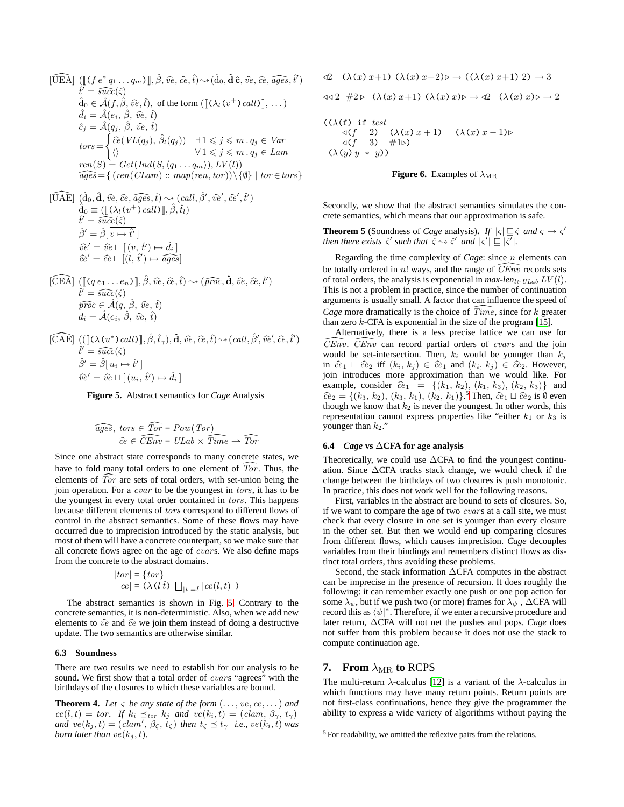$$
[\widehat{UEA}] \begin{align*}\n[\widehat{UEA}] \begin{align*}\n[\widehat{UFA}] \begin{matrix}\n[\widehat{UFA}] \end{matrix} & [\widehat{Ufe}^*q_1 \dots q_m) \rrbracket, \hat{\beta}, \hat{ve}, \hat{ce}, \hat{c}, \hat{t}) \sim (\hat{d}_0, \hat{\mathbf{d}} \hat{\mathbf{c}}, \hat{we}, \hat{ce}, \hat{ages}, \hat{t}') \\
\hat{t}' &= \widehat{succ}(\hat{\zeta}) \\
\hat{d}_0 & \in \hat{\mathcal{A}}(f, \hat{\beta}, \hat{we}, \hat{t}), \text{ of the form } (\llbracket (\lambda_l(v^+) \text{ call}) \rrbracket, \dots) \\
\hat{d}_i &= \hat{\mathcal{A}}(e_i, \hat{\beta}, \hat{we}, \hat{t}) \\
\hat{c}_j &= \hat{\mathcal{A}}(q_j, \hat{\beta}, \hat{we}, \hat{t}) \\
\text{tors} &= \begin{cases}\n\widehat{ce}(VL(q_j), \hat{\beta}_l(q_j)) & \exists 1 \leq j \leq m \cdot q_j \in \text{Var} \\
\langle \rangle & \forall 1 \leq j \leq m \cdot q_j \in \text{Lam} \\
\text{ren}(S) &= \text{Get}(Ind(S, \langle q_1 \dots q_m \rangle), \text{LV}(l)) \\
\widehat{ages} &= \{(\text{ren}(CLam) :: map(\text{ren}, \text{tor})) \setminus \{\emptyset\} \mid \text{tor} \in \text{tors}\}\n\end{align*}
$$

$$
\begin{aligned}\n[\widehat{\text{UAE}}] \quad & (\hat{\text{d}}_0, \hat{\mathbf{d}}, \hat{w}\hat{e}, \hat{ce}, \widehat{ages}, \hat{t}) \sim (call, \hat{\beta}', \hat{w}\hat{e}', \hat{ce}', \hat{t}') \\
& \hat{\text{d}}_0 \equiv (\llbracket (\lambda_l(v^+) \, \text{call}) \rrbracket, \hat{\beta}, \hat{t}_l) \\
& \hat{t}' = \widehat{succ}(\hat{c}) \\
& \hat{\beta}' = \hat{\beta}[\, \overline{v \mapsto \hat{t}'} \,] \\
& \widehat{w}\hat{e}' = \widehat{ve} \sqcup \, [\, (v, \hat{t}') \mapsto \hat{d}_i \,] \\
& \widehat{ce}' = \widehat{ce} \sqcup \, [(l, \hat{t}') \mapsto \widehat{ages}]\n\end{aligned}
$$

$$
\begin{aligned}\n[\widehat{\text{CEA}}] \, & (\llbracket (q \, e_1 \dots e_n) \rrbracket, \hat{\beta}, \hat{v} \hat{e}, \hat{c} \hat{e}, \hat{t}) \sim (\widehat{proc}, \hat{\mathbf{d}}, \hat{v} \hat{e}, \hat{c} \hat{e}, \hat{t}') \\
&\hat{t}' = \widehat{succ}(\hat{\zeta}) \\
&\widehat{proc} \in \hat{\mathcal{A}}(q, \hat{\beta}, \hat{v} \hat{e}, \hat{t}) \\
&\hat{d}_i = \hat{\mathcal{A}}(e_i, \hat{\beta}, \hat{v} \hat{e}, \hat{t})\n\end{aligned}
$$

 $[\widehat{CAE}]$   $(([\langle \lambda(u^*)\,cal{C}all\rangle], \hat{\beta}, \hat{t}_\gamma), \hat{\mathbf{d}}, \hat{we}, \hat{\alpha}, \hat{t}) \sim (call, \hat{\beta}', \hat{we}', \hat{\alpha}, \hat{t}')$  $\hat{t}' = \widehat{succ}(\hat{\varsigma})$  $\hat{\beta}' = \hat{\beta}[\, \overline{u_i \mapsto \hat{t}'} \,]$  $\widehat{ve}' = \widehat{ve} \sqcup [(u_i, \hat{t}') \mapsto \hat{d}_i]$ 

<span id="page-5-1"></span>**Figure 5.** Abstract semantics for *Cage* Analysis

$$
\widehat{ages}, \text{ tors} \in \widehat{Tor} = Pow(Tor)
$$

$$
\widehat{ce} \in \widehat{CEnv} = ULab \times \widehat{Time} \longrightarrow \widehat{Tor}
$$

Since one abstract state corresponds to many concrete states, we have to fold many total orders to one element of  $Tor$ . Thus, the elements of  $\widehat{Tor}$  are sets of total orders, with set-union being the join operation. For a cvar to be the youngest in tors, it has to be the youngest in every total order contained in tors. This happens because different elements of tors correspond to different flows of control in the abstract semantics. Some of these flows may have occurred due to imprecision introduced by the static analysis, but most of them will have a concrete counterpart, so we make sure that all concrete flows agree on the age of cvars. We also define maps from the concrete to the abstract domains.

$$
\begin{aligned} |tor| &= \{tor\} \\ |ce| &= (\lambda (l \hat{t}) \quad |_{|t| = \hat{t}} |ce(l, t)| \end{aligned}
$$

The abstract semantics is shown in Fig. [5.](#page-5-1) Contrary to the concrete semantics, it is non-deterministic. Also, when we add new elements to  $\hat{v}$  and  $\hat{c}$  we join them instead of doing a destructive update. The two semantics are otherwise similar.

#### **6.3 Soundness**

There are two results we need to establish for our analysis to be sound. We first show that a total order of cvars "agrees" with the birthdays of the closures to which these variables are bound.

**Theorem 4.** Let  $\varsigma$  be any state of the form  $(\ldots, ve, ce, \ldots)$  and  $ce(l, t) = tor$ *.* If  $k_i \preceq_{tor} k_j$  and  $ve(k_i, t) = (clam, \beta_\gamma, t_\gamma)$ *and*  $ve(k_j, t) = (clam', \beta_\zeta, t_\zeta)$  *then*  $t_\zeta \preceq t_\gamma$  *i.e.,*  $ve(k_i, t)$  *was born later than*  $ve(k_i, t)$ *.* 

$$
\begin{aligned}\n\text{and } &\quad \text{(}\lambda(x) \, x+1\text{)} \, (\lambda(x) \, x+2\text{)} &\rightarrow \text{((}\lambda(x) \, x+1\text{)} \, 2\text{)} \rightarrow 3 \\
\text{and } &\quad \text{(}\lambda(x) \, x+1\text{)} \, (\lambda(x) \, x\text{)} &\rightarrow \text{and } \, (\lambda(x) \, x) &\rightarrow \text{)} \\
\text{(}\lambda(x) \, x &\rightarrow \text{)} \n\end{aligned}
$$

$$
((\lambda(f) \text{ if } test
$$
  
\n
$$
\begin{array}{ccc}\n\triangleleft(f & 2) & (\lambda(x) x + 1) & (\lambda(x) x - 1) \triangleright \\
\triangleleft(f & 3) & \#1 \triangleright\n\end{array})\n\quad\n(\lambda(y) y * y)
$$

<span id="page-5-3"></span>

Secondly, we show that the abstract semantics simulates the concrete semantics, which means that our approximation is safe.

**Theorem 5** (Soundness of *Cage* analysis). If  $|\varsigma| \sqsubseteq \hat{\varsigma}$  and  $\varsigma \to \varsigma'$ *then there exists*  $\hat{\varsigma}'$  such that  $\hat{\varsigma} \rightsquigarrow \hat{\varsigma}'$  and  $|\varsigma'| \subseteq |\hat{\varsigma}'|$ .

Regarding the time complexity of *Cage*: since n elements can be totally ordered in n! ways, and the range of  $\overline{CEnv}$  records sets of total orders, the analysis is exponential in  $max\text{-}len_{l\in ULab} LV(l)$ . This is not a problem in practice, since the number of continuation arguments is usually small. A factor that can influence the speed of *Cage* more dramatically is the choice of  $Time$ , since for k greater than zero  $k$ -CFA is exponential in the size of the program [\[15\]](#page-9-11).

\Alternatively, there is a less precise lattice we can use for  $CEnv$ .  $CEnv$  can record partial orders of *cvars* and the join would be set-intersection. Then,  $k_i$  would be younger than  $k_j$ in  $\hat{c}e_1 \sqcup \hat{c}e_2$  iff  $(k_i, k_j) \in \hat{c}e_1$  and  $(k_i, k_j) \in \hat{c}e_2$ . However, join introduces more approximation than we would like. For example, consider  $\hat{c}e_1 = \{(k_1, k_2), (k_1, k_3), (k_2, k_3)\}\$  and  $\hat{c}e_2 = \{(k_3, k_2), (k_3, k_1), (k_2, k_1)\}\cdot^5$  $\hat{c}e_2 = \{(k_3, k_2), (k_3, k_1), (k_2, k_1)\}\cdot^5$  Then,  $\hat{c}e_1 \sqcup \hat{c}e_2$  is  $\emptyset$  even<br>though we know that  $k_i$  is never the veuponest. In other words, this though we know that  $k_2$  is never the youngest. In other words, this representation cannot express properties like "either  $k_1$  or  $k_3$  is younger than  $k_2$ ."

#### **6.4** *Cage* **vs** ∆**CFA for age analysis**

Theoretically, we could use  $\Delta$ CFA to find the youngest continuation. Since ∆CFA tracks stack change, we would check if the change between the birthdays of two closures is push monotonic. In practice, this does not work well for the following reasons.

First, variables in the abstract are bound to sets of closures. So, if we want to compare the age of two cvars at a call site, we must check that every closure in one set is younger than every closure in the other set. But then we would end up comparing closures from different flows, which causes imprecision. *Cage* decouples variables from their bindings and remembers distinct flows as distinct total orders, thus avoiding these problems.

Second, the stack information ∆CFA computes in the abstract can be imprecise in the presence of recursion. It does roughly the following: it can remember exactly one push or one pop action for some  $\lambda_{\psi}$ , but if we push two (or more) frames for  $\lambda_{\psi}$ ,  $\Delta$ CFA will record this as  $\langle \psi |^*$  . Therefore, if we enter a recursive procedure and later return, ∆CFA will not net the pushes and pops. *Cage* does not suffer from this problem because it does not use the stack to compute continuation age.

# <span id="page-5-0"></span>**7.** From  $\lambda_{MR}$  to RCPS

The multi-return  $\lambda$ -calculus [\[12](#page-9-7)] is a variant of the  $\lambda$ -calculus in which functions may have many return points. Return points are not first-class continuations, hence they give the programmer the ability to express a wide variety of algorithms without paying the

<span id="page-5-2"></span><sup>5</sup> For readability, we omitted the reflexive pairs from the relations.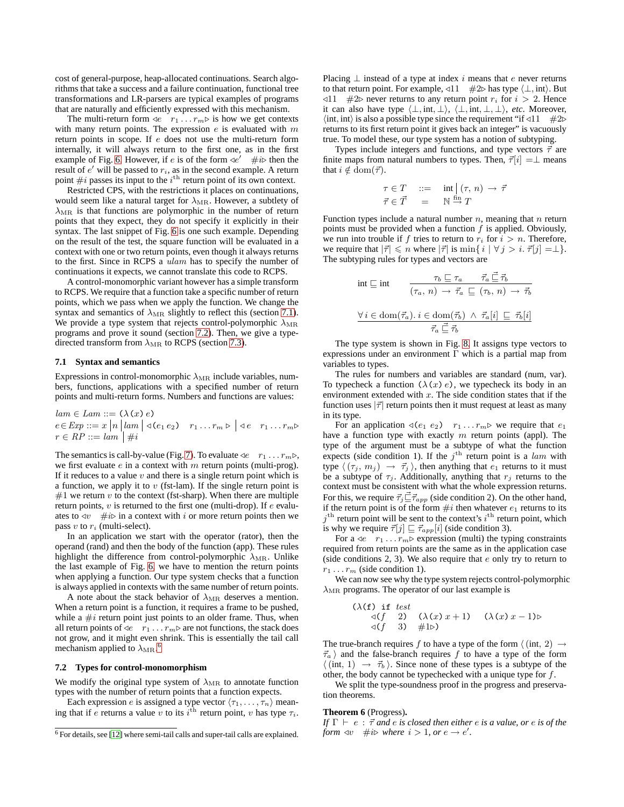cost of general-purpose, heap-allocated continuations. Search algorithms that take a success and a failure continuation, functional tree transformations and LR-parsers are typical examples of programs that are naturally and efficiently expressed with this mechanism.

The multi-return form  $\triangleleft e$   $r_1 \dots r_m \triangleright$  is how we get contexts with many return points. The expression  $e$  is evaluated with  $m$ return points in scope. If e does not use the multi-return form internally, it will always return to the first one, as in the first example of Fig. [6.](#page-5-3) However, if e is of the form  $\triangleleft e'$  #i $\triangleright$  then the result of  $e'$  will be passed to  $r_i$ , as in the second example. A return point  $\#i$  passes its input to the  $i^{\text{th}}$  return point of its own context.

Restricted CPS, with the restrictions it places on continuations, would seem like a natural target for  $\lambda_{MR}$ . However, a subtlety of  $\lambda_{\text{MR}}$  is that functions are polymorphic in the number of return points that they expect, they do not specify it explicitly in their syntax. The last snippet of Fig. [6](#page-5-3) is one such example. Depending on the result of the test, the square function will be evaluated in a context with one or two return points, even though it always returns to the first. Since in RCPS a ulam has to specify the number of continuations it expects, we cannot translate this code to RCPS.

A control-monomorphic variant however has a simple transform to RCPS. We require that a function take a specific number of return points, which we pass when we apply the function. We change the syntax and semantics of  $\lambda_{MR}$  slightly to reflect this (section [7.1\)](#page-6-0). We provide a type system that rejects control-polymorphic  $\lambda_{MR}$ programs and prove it sound (section [7.2\)](#page-6-1). Then, we give a typedirected transform from  $\lambda_{MR}$  to RCPS (section [7.3\)](#page-8-1).

#### <span id="page-6-0"></span>**7.1 Syntax and semantics**

Expressions in control-monomorphic  $\lambda_{MR}$  include variables, numbers, functions, applications with a specified number of return points and multi-return forms. Numbers and functions are values:

 $lam \in Lam ::= (\lambda(x) e)$  $e \in Exp ::= x \mid n \mid \text{lam} \mid \lhd (e_1 \, e_2) \quad r_1 \ldots r_m \rhd \mid \lhd e \quad r_1 \ldots r_m \rhd$  $r \in RP ::= lam \mid \#i$ 

The semantics is call-by-value (Fig. [7\)](#page-7-0). To evaluate  $\triangleleft e$   $r_1 \dots r_m \triangleright$ , we first evaluate  $e$  in a context with  $m$  return points (multi-prog). If it reduces to a value  $v$  and there is a single return point which is a function, we apply it to  $v$  (fst-lam). If the single return point is  $#1$  we return v to the context (fst-sharp). When there are multiple return points,  $v$  is returned to the first one (multi-drop). If  $e$  evaluates to  $\triangleleft v$  #i in a context with i or more return points then we pass  $v$  to  $r_i$  (multi-select).

In an application we start with the operator (rator), then the operand (rand) and then the body of the function (app). These rules highlight the difference from control-polymorphic  $\lambda_{MR}$ . Unlike the last example of Fig. [6,](#page-5-3) we have to mention the return points when applying a function. Our type system checks that a function is always applied in contexts with the same number of return points.

A note about the stack behavior of  $\lambda_{MR}$  deserves a mention. When a return point is a function, it requires a frame to be pushed, while a  $\#i$  return point just points to an older frame. Thus, when all return points of ⊲e  $r_1 \ldots r_m$  are not functions, the stack does not grow, and it might even shrink. This is essentially the tail call mechanism applied to  $\lambda_{MR}$ .<sup>[6](#page-6-2)</sup>

#### <span id="page-6-1"></span>**7.2 Types for control-monomorphism**

We modify the original type system of  $\lambda_{MR}$  to annotate function types with the number of return points that a function expects.

Each expression e is assigned a type vector  $\langle \tau_1, \ldots, \tau_n \rangle$  meaning that if e returns a value v to its  $i^{\text{th}}$  return point, v has type  $\tau_i$ . Placing  $\perp$  instead of a type at index i means that e never returns to that return point. For example,  $\triangleleft 11 \#2\triangleright$  has type  $\langle \perp, \text{int} \rangle$ . But  $\triangleleft 11$  #2⊳ never returns to any return point  $r_i$  for  $i > 2$ . Hence it can also have type  $\langle \perp, \text{int}, \perp \rangle$ ,  $\langle \perp, \text{int}, \perp, \perp \rangle$ , *etc.* Moreover,  $\langle$ int, int $\rangle$  is also a possible type since the requirement "if  $\triangleleft 11 \#2 \triangleright$ returns to its first return point it gives back an integer" is vacuously true. To model these, our type system has a notion of subtyping.

Types include integers and functions, and type vectors  $\vec{\tau}$  are finite maps from natural numbers to types. Then,  $\vec{\tau}[i] = \perp$  means that  $i \notin \text{dom}(\vec{\tau})$ .

$$
\begin{array}{rcl}\n\tau \in T & ::= & \text{int } \left| (\tau, n) \right| \to \vec{\tau} \\
\vec{\tau} \in \vec{T} & = & \mathbb{N} \stackrel{\text{fin}}{\to} T\n\end{array}
$$

Function types include a natural number  $n$ , meaning that  $n$  return points must be provided when a function  $f$  is applied. Obviously, we run into trouble if f tries to return to  $r_i$  for  $i > n$ . Therefore, we require that  $|\vec{\tau}| \leq n$  where  $|\vec{\tau}|$  is  $\min\{i \mid \forall j > i$ .  $\vec{\tau}[j] = \perp\}.$ The subtyping rules for types and vectors are

$$
\begin{aligned}\n\text{int} \sqsubseteq \text{int} & \frac{\tau_b \sqsubseteq \tau_a}{(\tau_a, n) \to \vec{\tau}_a \sqsubseteq (\tau_b, n) \to \vec{\tau}_b} \\
\frac{\forall i \in \text{dom}(\vec{\tau}_a) \cdot i \in \text{dom}(\vec{\tau}_b) \land \vec{\tau}_a[i] \sqsubseteq \vec{\tau}_b[i]}{\vec{\tau}_a \sqsubseteq \vec{\tau}_b}\n\end{aligned}
$$

The type system is shown in Fig. [8.](#page-7-1) It assigns type vectors to expressions under an environment  $\Gamma$  which is a partial map from variables to types.

The rules for numbers and variables are standard (num, var). To typecheck a function  $(\lambda(x) e)$ , we typecheck its body in an environment extended with  $x$ . The side condition states that if the function uses  $|\vec{\tau}|$  return points then it must request at least as many in its type.

For an application  $\triangleleft(e_1 \ e_2)$   $r_1 \dots r_m \triangleright$  we require that  $e_1$ have a function type with exactly  $m$  return points (appl). The type of the argument must be a subtype of what the function expects (side condition 1). If the  $j<sup>th</sup>$  return point is a lam with type  $\langle (\tau_i, m_i) \rightarrow \vec{\tau}_i \rangle$ , then anything that  $e_1$  returns to it must be a subtype of  $\tau_j$ . Additionally, anything that  $r_j$  returns to the context must be consistent with what the whole expression returns. For this, we require  $\vec{\tau}_j \vec{\equiv} \vec{\tau}_{app}$  (side condition 2). On the other hand, if the return point is of the form  $\#i$  then whatever  $e_1$  returns to its  $j<sup>th</sup>$  return point will be sent to the context's  $i<sup>th</sup>$  return point, which is why we require  $\vec{\tau}[j] \sqsubseteq \vec{\tau}_{app}[i]$  (side condition 3).

For a ⊲e  $r_1 \dots r_m$  expression (multi) the typing constraints required from return points are the same as in the application case (side conditions 2, 3). We also require that  $e$  only try to return to  $r_1 \ldots r_m$  (side condition 1).

We can now see why the type system rejects control-polymorphic  $\lambda_{MR}$  programs. The operator of our last example is

$$
(\lambda(f) \text{ if } test
$$
  
\n
$$
\exists (f \quad 2) \quad (\lambda(x) \quad x+1) \quad (\lambda(x) \quad x-1) \triangleright
$$
  
\n
$$
\exists (f \quad 3) \quad \#1 \triangleright)
$$

The true-branch requires f to have a type of the form  $\langle$  (int, 2)  $\rightarrow$  $\vec{\tau}_a$ ) and the false-branch requires f to have a type of the form  $\langle$  (int, 1)  $\rightarrow \vec{\tau}_b$ ). Since none of these types is a subtype of the other, the body cannot be typechecked with a unique type for f.

We split the type-soundness proof in the progress and preservation theorems.

#### **Theorem 6** (Progress)**.**

*If*  $\Gamma \vdash e : \vec{\tau}$  *and*  $e$  *is closed then either*  $e$  *is a value, or*  $e$  *is of the form*  $\triangleleft v$  #*i* $\triangleright$  *where*  $i > 1$ *, or*  $e \rightarrow e'$ *.* 

<span id="page-6-2"></span><sup>6</sup> For details, see [\[12\]](#page-9-7) where semi-tail calls and super-tail calls are explained.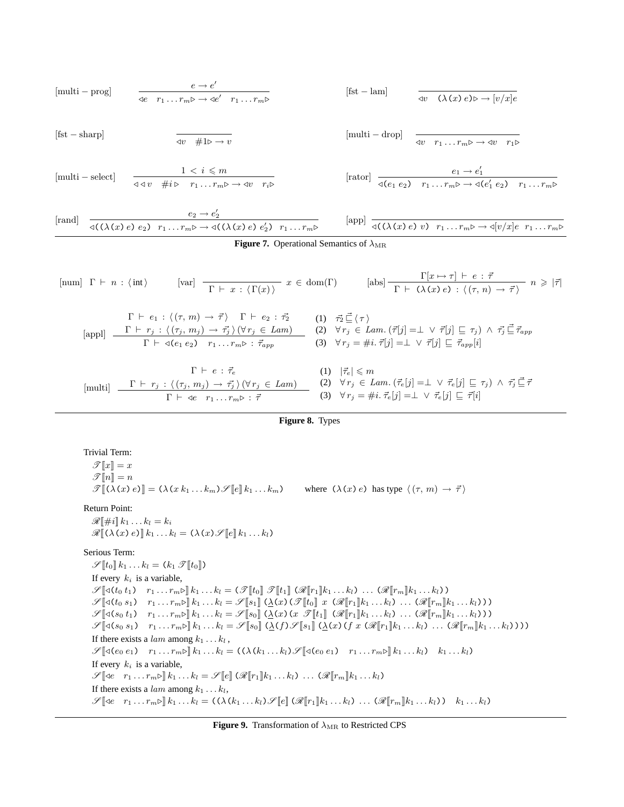| [multi-prog]     | \n $\frac{e \rightarrow e'}{e}$ \n $r_{1} \dots r_{m} \rightarrow \infty$ \n                                                                                                                       | [fst – lam]    | \n $\frac{1}{\sqrt{w} (\lambda(x) e) \rightarrow [v/x] e}$ \n                                                                                            |
|------------------|----------------------------------------------------------------------------------------------------------------------------------------------------------------------------------------------------|----------------|----------------------------------------------------------------------------------------------------------------------------------------------------------|
| [fst – sharp]    | \n $\frac{1}{\sqrt{w} \neq 1 \rightarrow v}$ \n                                                                                                                                                    | [multi – drop] | \n $\frac{1}{\sqrt{w} \cdot r_{1} \dots r_{m} \rightarrow \infty \cdot r_{1} \rightarrow \infty}$ \n                                                     |
| [multi – select] | \n $\frac{1}{\sqrt{w} \neq i \rightarrow r_{1} \dots r_{m} \rightarrow \infty \cdot r_{i} \rightarrow \infty}$ \n                                                                                  | [rator]        | \n $\frac{e_{1} \rightarrow e'_{1}}{\sqrt{e_{1} e_{2}} \cdot r_{1} \dots r_{m} \rightarrow \infty} e_{1} \rightarrow e'_{1}$ \n                          |
| [rand]           | \n $\frac{e_{2} \rightarrow e'_{2}}{\sqrt{(\lambda(x) e) e_{2}} \cdot r_{1} \dots r_{m} \rightarrow \infty} e_{1} \rightarrow e'_{1} \rightarrow e'_{1} \rightarrow e'_{1} \rightarrow \infty}$ \n | [app]          | \n $\frac{1}{\sqrt{(\lambda(x) e) e_{2}} \cdot r_{1} \dots r_{m} \rightarrow \infty} e_{1} \rightarrow e'_{1} \rightarrow e'_{1} \rightarrow \infty}$ \n |
| [app]            | \n $\frac{1}{\sqrt{(\lambda(x) e) e_{2}} \cdot r_{1} \dots r_{m} \rightarrow \infty} e_{1} \rightarrow e'_{1} \rightarrow \infty}$ \n                                                              |                |                                                                                                                                                          |
| [app]            | \n $\frac{1}{\sqrt{(\lambda(x) e) e_{2}} \cdot r_{1} \dots r_{m} \rightarrow \infty} e_{1} \rightarrow e'_{1} \rightarrow \infty}$ \n                                                              |                |                                                                                                                                                          |
| [app]            | \n $\frac{1}{\sqrt{(\lambda(x$                                                                                                                                                                     |                |                                                                                                                                                          |

<span id="page-7-0"></span>
$$
\text{sum} \quad \Gamma \vdash n : \langle \text{int} \rangle \qquad \text{[var]} \quad \frac{\Gamma[x \mapsto \tau] \vdash e : \vec{\tau}}{\Gamma \vdash x : \langle (\tau, m) \to \vec{\tau} \rangle} \quad x \in \text{dom}(\Gamma) \qquad \text{[abs]} \quad \frac{\Gamma[x \mapsto \tau] \vdash e : \vec{\tau}}{\Gamma \vdash (\lambda(x) e) : \langle (\tau, n) \to \vec{\tau} \rangle} \quad n \geqslant |\vec{\tau}|
$$
\n
$$
\Gamma \vdash e_1 : \langle (\tau, m) \to \vec{\tau} \rangle \quad \Gamma \vdash e_2 : \vec{\tau_2} \qquad \text{(1)} \quad \vec{\tau_2} \vec{\sqsubseteq} \langle \tau \rangle
$$
\n
$$
\text{[appl]} \quad \frac{\Gamma \vdash r_j : \langle (\tau_j, m_j) \to \vec{\tau_j} \rangle \langle \forall r_j \in Lam)}{\Gamma \vdash \langle (r_j, m_j) \to \vec{\tau_j} \rangle \langle \forall r_j \in Lam \rangle} \quad \text{(2)} \quad \forall r_j \in Lam. (\vec{\tau}[j] = \bot \lor \vec{\tau}[j] \sqsubseteq \tau_j) \land \vec{\tau_j} \vec{\sqsubseteq} \vec{\tau_{app}}
$$
\n
$$
\Gamma \vdash e : \vec{\tau_e} \qquad \text{(1)} \quad |\vec{\tau_e}| \leq m
$$
\n
$$
\Gamma \vdash e : \vec{\tau_e} \qquad \text{(2)} \quad \forall r_j \in Lam. (\vec{\tau_e}[j] = \bot \lor \vec{\tau_e}[j] \sqsubseteq \tau_j) \land \vec{\tau_j} \vec{\sqsubseteq} \vec{\tau}
$$
\n
$$
\Gamma \vdash \exists e \quad r_1 \dots r_m \triangleright : \vec{\tau} \qquad \text{(3)} \quad \forall r_j = \#i. \vec{\tau_e}[j] = \bot \lor \vec{\tau_e}[j] \sqsubseteq \vec{\tau_i}]
$$

<span id="page-7-1"></span>

Trivial Term:

[num]  $\Gamma \vdash n : \langle \text{int} \rangle$ 

 $\mathscr{T}[\![x]\!]=x$  $\mathscr{T}[\![n]\!]=n$  $\mathcal{T}[(\lambda(x) e)] = (\lambda(x k_1 ... k_m) \mathcal{I}[e] k_1 ... k_m)$  where  $(\lambda(x) e)$  has type  $\langle (\tau, m) \rightarrow \vec{\tau} \rangle$ Return Point:  $\mathscr{R}[\#i] \; k_1 \ldots k_l = k_i$  $\mathscr{R}[(\lambda(x) e)] k_1 ... k_l = (\lambda(x) \mathscr{S}[e] k_1 ... k_l)$ Serious Term:  $\mathscr{S}[[t_0][k_1 \dots k_l = (k_1 \mathscr{T}[[t_0]])$ If every  $k_i$  is a variable,  $\mathscr{S}[\![\triangleleft(t_0 t_1) \quad r_1 \ldots r_m \triangleright \! ]\!] k_1 \ldots k_l = (\mathscr{T}[\![t_0]\!]) \mathscr{T}[\![t_1]\!]) (\mathscr{R}[\![r_1]\!] k_1 \ldots k_l) \ldots (\mathscr{R}[\![r_m]\!] k_1 \ldots k_l)$  $\mathscr{S}[\![\triangleleft(t_0\,s_1)\quad r_1\ldots r_m\triangleright]\!] \,k_1\ldots k_l = \mathscr{S}[\![s_1]\!] \, \left(\underline{\lambda}(x)\, (\mathscr{T}[\![t_0]\!]\!]\! \; x\, \left(\mathscr{R}[\![r_1]\!] \,k_1\ldots k_l\right)\; \ldots \, \left(\mathscr{R}[\![r_m]\!] \,k_1\ldots k_l\right)\right) )$  $\mathcal{S}[\![\triangleleft(s_0\,t_1) \quad r_1 \ldots r_m \triangleright \! ]\!] \, k_1 \ldots k_l = \mathcal{S}[\![s_0]\!] \; (\underline{\lambda}(x) \, (x \; \mathcal{S}[\![t_1]\!] \; (\mathcal{R}[\![r_1]\!] \! k_1 \ldots k_l) \; \ldots \; (\mathcal{R}[\![r_m]\!] \! k_1 \ldots k_l))\, )$  $\mathscr{S}[\![\triangleleft(s_0 \, s_1) \quad r_1 \ldots r_m \triangleright] \, k_1 \ldots k_l = \mathscr{S}[\![s_0]\!] \, \langle \underline{\lambda}(f) \mathscr{S}[\![s_1]\!] \, \langle \underline{\lambda}(x) \, (f \, x \, (\mathscr{R}[\![r_1]\!] k_1 \ldots k_l) \, \ldots \, (\mathscr{R}[\![r_m]\!] k_1 \ldots k_l)) ) )$ If there exists a *lam* among  $k_1 \ldots k_l$ ,  $\mathscr{S}[\![\triangleleft(e_0 \, e_1) \quad r_1 \ldots r_m \triangleright] \, k_1 \ldots k_l = (\langle \lambda(k_1 \ldots k_l) \mathscr{S}[\![\triangleleft(e_0 \, e_1) \quad r_1 \ldots r_m \triangleright] \, k_1 \ldots k_l) \quad k_1 \ldots k_l)$ If every  $k_i$  is a variable,  $\mathscr{S}[\mathbb{R}e \quad r_1 \ldots r_m \in [k_1 \ldots k_l = \mathscr{S}[[e]] \; (\mathscr{R}[[r_1]]k_1 \ldots k_l) \; \ldots \; (\mathscr{R}[[r_m]]k_1 \ldots k_l)$ If there exists a *lam* among  $k_1 \ldots k_l$ ,  $\mathscr{S}[\![\leq r_1 \ldots r_m \infty]\!] k_1 \ldots k_l = (\lambda(k_1 \ldots k_l) \mathscr{S}[\![e]\!](\mathscr{R}[\![r_1]\!] k_1 \ldots k_l) \ldots (\mathscr{R}[\![r_m]\!] k_1 \ldots k_l) \quad k_1 \ldots k_l)$ 

<span id="page-7-2"></span>**Figure 9.** Transformation of  $\lambda_{MR}$  to Restricted CPS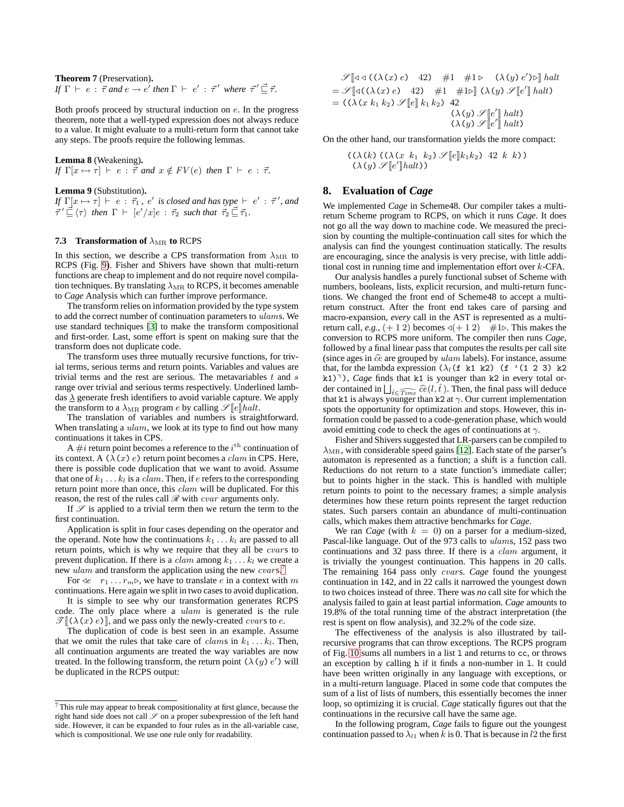**Theorem 7** (Preservation)**.**  $I f \Gamma \vdash e : \vec{\tau}$  *and*  $e \rightarrow e'$  *then*  $\Gamma \vdash e' : \vec{\tau}'$  *where*  $\vec{\tau}' \vec{\subseteq} \vec{\tau}$ *.* 

Both proofs proceed by structural induction on e. In the progress theorem, note that a well-typed expression does not always reduce to a value. It might evaluate to a multi-return form that cannot take any steps. The proofs require the following lemmas.

**Lemma 8** (Weakening)**.**

*If*  $\Gamma[x \mapsto \tau]$   $\vdash e : \overrightarrow{\tau}$  *and*  $x \notin FV(e)$  *then*  $\Gamma \vdash e : \overrightarrow{\tau}$ *.* 

**Lemma 9** (Substitution)**.**

*If*  $\Gamma[x \mapsto \tau] \vdash e : \vec{\tau}_1$ , e' is closed and has type  $\vdash e' : \vec{\tau}'$ , and  $\vec{\tau}' \vec{\subseteq} \langle \tau \rangle$  then  $\Gamma \vdash [e'/x]e : \vec{\tau}_2$  such that  $\vec{\tau}_2 \vec{\subseteq} \vec{\tau}_1$ .

## <span id="page-8-1"></span>**7.3 Transformation of**  $\lambda_{MR}$  to RCPS

In this section, we describe a CPS transformation from  $\lambda_{\text{MR}}$  to RCPS (Fig. [9\)](#page-7-2). Fisher and Shivers have shown that multi-return functions are cheap to implement and do not require novel compilation techniques. By translating  $\lambda_{\rm MR}$  to RCPS, it becomes amenable to *Cage* Analysis which can further improve performance.

The transform relies on information provided by the type system to add the correct number of continuation parameters to ulams. We use standard techniques [\[3\]](#page-9-12) to make the transform compositional and first-order. Last, some effort is spent on making sure that the transform does not duplicate code.

The transform uses three mutually recursive functions, for trivial terms, serious terms and return points. Variables and values are trivial terms and the rest are serious. The metavariables  $t$  and  $s$ range over trivial and serious terms respectively. Underlined lambdas  $\lambda$  generate fresh identifiers to avoid variable capture. We apply the transform to a  $\lambda_{MR}$  program e by calling  $\mathscr{S}[\![e]\!]$  halt.

The translation of variables and numbers is straightforward. When translating a  $ulam$ , we look at its type to find out how many continuations it takes in CPS.

A #*i* return point becomes a reference to the  $i^{\text{th}}$  continuation of its context. A  $(\lambda(x) e)$  return point becomes a *clam* in CPS. Here, there is possible code duplication that we want to avoid. Assume that one of  $k_1 \ldots k_l$  is a *clam*. Then, if e refers to the corresponding return point more than once, this *clam* will be duplicated. For this reason, the rest of the rules call  $\mathcal R$  with *cvar* arguments only.

If  $\mathscr S$  is applied to a trivial term then we return the term to the first continuation.

Application is split in four cases depending on the operator and the operand. Note how the continuations  $k_1 \ldots k_l$  are passed to all return points, which is why we require that they all be cvars to prevent duplication. If there is a *clam* among  $k_1 \ldots k_l$  we create a new ulam and transform the application using the new cvars.<sup>[7](#page-8-2)</sup>

For  $\triangleleft e$   $r_1 \ldots r_m \triangleright$ , we have to translate e in a context with m continuations. Here again we split in two cases to avoid duplication.

It is simple to see why our transformation generates RCPS code. The only place where a ulam is generated is the rule  $\mathcal{T}(\lambda(x) e)$ , and we pass only the newly-created *cvars* to e.

The duplication of code is best seen in an example. Assume that we omit the rules that take care of *clams* in  $k_1 \ldots k_l$ . Then, all continuation arguments are treated the way variables are now treated. In the following transform, the return point  $(\lambda(y) e')$  will be duplicated in the RCPS output:

 $\mathscr{S}$   $\left[\triangleleft \triangleleft \right( (\lambda(x) e) 42 \right) \neq 1 \neq \pm 1 \triangleright (\lambda(y) e') \triangleright \right]$  halt  $=\mathscr{S}[\neg((\lambda(x) e) 42) \neq 1 \neq 1 \rightrightarrows [\lambda(y) \mathscr{S}[e']] \text{ halt})$  $= ((\lambda (x k_1 k_2) \mathcal{S}[[e] [k_1 k_2) 42$  $(\lambda(y) \mathcal{S} [e']$  halt)  $(\lambda(y) \mathcal{S} \in \llbracket e' \rrbracket$  halt)

On the other hand, our transformation yields the more compact:

$$
((\lambda(k) ((\lambda(x k_1 k_2) \mathcal{S}[[e]] k_1 k_2) 42 k k))
$$

$$
(\lambda(y) \mathcal{S}[[e']] halt))
$$

## <span id="page-8-0"></span>**8. Evaluation of** *Cage*

We implemented *Cage* in Scheme48. Our compiler takes a multireturn Scheme program to RCPS, on which it runs *Cage*. It does not go all the way down to machine code. We measured the precision by counting the multiple-continuation call sites for which the analysis can find the youngest continuation statically. The results are encouraging, since the analysis is very precise, with little additional cost in running time and implementation effort over k-CFA.

Our analysis handles a purely functional subset of Scheme with numbers, booleans, lists, explicit recursion, and multi-return functions. We changed the front end of Scheme48 to accept a multireturn construct. After the front end takes care of parsing and macro-expansion, *every* call in the AST is represented as a multireturn call, *e.g.*,  $(+12)$  becomes  $\triangleleft(+12)$  #1 $\triangleright$ . This makes the conversion to RCPS more uniform. The compiler then runs *Cage*, followed by a final linear pass that computes the results per call site (since ages in  $\hat{c}$  are grouped by  $ulam$  labels). For instance, assume that, for the lambda expression  $(\lambda_l(f \kappa_1 \kappa_2)$  (f '(1 2 3) k2 k1)<sup>γ</sup>), *Cage* finds that k1 is younger than k2 in every total order contained in  $\bigsqcup_{\hat{t} \in \widehat{Time}} \widehat{ce}(l, \hat{t})$ . Then, the final pass will deduce that k1 is always younger than k2 at  $\gamma$ . Our current implementation spots the opportunity for optimization and stops. However, this information could be passed to a code-generation phase, which would avoid emitting code to check the ages of continuations at  $\gamma$ .

Fisher and Shivers suggested that LR-parsers can be compiled to  $\lambda_{\text{MR}}$ , with considerable speed gains [\[12\]](#page-9-7). Each state of the parser's automaton is represented as a function; a shift is a function call. Reductions do not return to a state function's immediate caller; but to points higher in the stack. This is handled with multiple return points to point to the necessary frames; a simple analysis determines how these return points represent the target reduction states. Such parsers contain an abundance of multi-continuation calls, which makes them attractive benchmarks for *Cage*.

We ran *Cage* (with  $k = 0$ ) on a parser for a medium-sized, Pascal-like language. Out of the 973 calls to ulams, 152 pass two continuations and 32 pass three. If there is a clam argument, it is trivially the youngest continuation. This happens in 20 calls. The remaining 164 pass only cvars. *Cage* found the youngest continuation in 142, and in 22 calls it narrowed the youngest down to two choices instead of three. There was *no* call site for which the analysis failed to gain at least partial information. *Cage* amounts to 19.8% of the total running time of the abstract interpretation (the rest is spent on flow analysis), and 32.2% of the code size.

The effectiveness of the analysis is also illustrated by tailrecursive programs that can throw exceptions. The RCPS program of Fig. [10](#page-9-13) sums all numbers in a list l and returns to cc, or throws an exception by calling h if it finds a non-number in l. It could have been written originally in any language with exceptions, or in a multi-return language. Placed in some code that computes the sum of a list of lists of numbers, this essentially becomes the inner loop, so optimizing it is crucial. *Cage* statically figures out that the continuations in the recursive call have the same age.

In the following program, *Cage* fails to figure out the youngest continuation passed to  $\lambda_{l1}$  when k is 0. That is because in l2 the first

<span id="page-8-2"></span><sup>7</sup> This rule may appear to break compositionality at first glance, because the right hand side does not call  ${\mathcal S}$  on a proper subexpression of the left hand side. However, it can be expanded to four rules as in the all-variable case, which is compositional. We use one rule only for readability.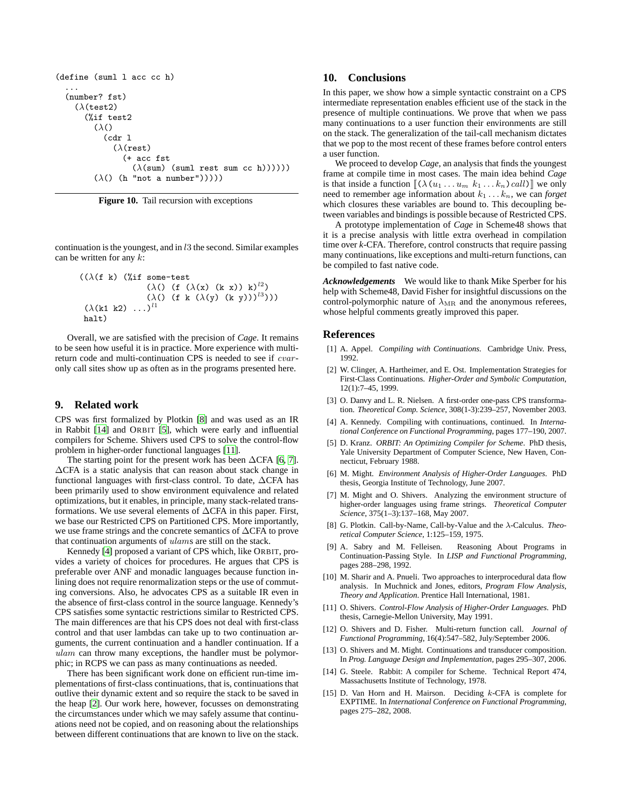```
(define (suml l acc cc h)
  ...
  (number? fst)
     (\lambda(test2)
        (%if test2
           (\lambda()(cdr l
                (\lambda(rest)
                   (+ acc fst
                      (\lambda(\text{sum}) (\text{sum} \text{rest sum} \text{cc h}))))(\lambda() (h "not a number")))))
```
<span id="page-9-13"></span>**Figure 10.** Tail recursion with exceptions

continuation is the youngest, and in l3 the second. Similar examples can be written for any  $k$ :

```
((\lambda(f k) (\text{Nif some-test}))(\lambda() (f (\lambda(x) (k x)) k)<sup>12</sup>)
                         (\lambda() (f k (\lambda(y) (k y)))<sup>l3</sup>)))
 (\lambda(k1 k2) \ldots)^{l1}halt)
```
Overall, we are satisfied with the precision of *Cage*. It remains to be seen how useful it is in practice. More experience with multireturn code and multi-continuation CPS is needed to see if cvaronly call sites show up as often as in the programs presented here.

# **9. Related work**

CPS was first formalized by Plotkin [\[8](#page-9-6)] and was used as an IR in Rabbit [\[14](#page-9-4)] and ORBIT [\[5](#page-9-1)], which were early and influential compilers for Scheme. Shivers used CPS to solve the control-flow problem in higher-order functional languages [\[11\]](#page-9-3).

The starting point for the present work has been  $\Delta$ CFA [\[6](#page-9-14), [7\]](#page-9-2). ∆CFA is a static analysis that can reason about stack change in functional languages with first-class control. To date, ∆CFA has been primarily used to show environment equivalence and related optimizations, but it enables, in principle, many stack-related transformations. We use several elements of  $\Delta$ CFA in this paper. First, we base our Restricted CPS on Partitioned CPS. More importantly, we use frame strings and the concrete semantics of ∆CFA to prove that continuation arguments of ulams are still on the stack.

Kennedy [\[4\]](#page-9-5) proposed a variant of CPS which, like ORBIT, provides a variety of choices for procedures. He argues that CPS is preferable over ANF and monadic languages because function inlining does not require renormalization steps or the use of commuting conversions. Also, he advocates CPS as a suitable IR even in the absence of first-class control in the source language. Kennedy's CPS satisfies some syntactic restrictions similar to Restricted CPS. The main differences are that his CPS does not deal with first-class control and that user lambdas can take up to two continuation arguments, the current continuation and a handler continuation. If a ulam can throw many exceptions, the handler must be polymorphic; in RCPS we can pass as many continuations as needed.

There has been significant work done on efficient run-time implementations of first-class continuations, that is, continuations that outlive their dynamic extent and so require the stack to be saved in the heap [\[2](#page-9-15)]. Our work here, however, focusses on demonstrating the circumstances under which we may safely assume that continuations need not be copied, and on reasoning about the relationships between different continuations that are known to live on the stack.

# **10. Conclusions**

In this paper, we show how a simple syntactic constraint on a CPS intermediate representation enables efficient use of the stack in the presence of multiple continuations. We prove that when we pass many continuations to a user function their environments are still on the stack. The generalization of the tail-call mechanism dictates that we pop to the most recent of these frames before control enters a user function.

We proceed to develop *Cage*, an analysis that finds the youngest frame at compile time in most cases. The main idea behind *Cage* is that inside a function  $[(\lambda(u_1 \ldots u_m k_1 \ldots k_n) call)]$  we only need to remember age information about  $k_1 \ldots k_n$ , we can *forget* which closures these variables are bound to. This decoupling between variables and bindings is possible because of Restricted CPS.

A prototype implementation of *Cage* in Scheme48 shows that it is a precise analysis with little extra overhead in compilation time over *k*-CFA. Therefore, control constructs that require passing many continuations, like exceptions and multi-return functions, can be compiled to fast native code.

*Acknowledgements* We would like to thank Mike Sperber for his help with Scheme48, David Fisher for insightful discussions on the control-polymorphic nature of  $\lambda_{\text{MR}}$  and the anonymous referees, whose helpful comments greatly improved this paper.

#### <span id="page-9-0"></span>**References**

- [1] A. Appel. *Compiling with Continuations*. Cambridge Univ. Press, 1992.
- <span id="page-9-15"></span>[2] W. Clinger, A. Hartheimer, and E. Ost. Implementation Strategies for First-Class Continuations. *Higher-Order and Symbolic Computation*, 12(1):7–45, 1999.
- <span id="page-9-12"></span>[3] O. Danvy and L. R. Nielsen. A first-order one-pass CPS transformation. *Theoretical Comp. Science*, 308(1-3):239–257, November 2003.
- <span id="page-9-5"></span>[4] A. Kennedy. Compiling with continuations, continued. In *International Conference on Functional Programming*, pages 177–190, 2007.
- <span id="page-9-1"></span>[5] D. Kranz. *ORBIT: An Optimizing Compiler for Scheme*. PhD thesis, Yale University Department of Computer Science, New Haven, Connecticut, February 1988.
- <span id="page-9-14"></span>[6] M. Might. *Environment Analysis of Higher-Order Languages*. PhD thesis, Georgia Institute of Technology, June 2007.
- <span id="page-9-2"></span>[7] M. Might and O. Shivers. Analyzing the environment structure of higher-order languages using frame strings. *Theoretical Computer Science*, 375(1–3):137–168, May 2007.
- <span id="page-9-6"></span>[8] G. Plotkin. Call-by-Name, Call-by-Value and the λ-Calculus. *Theoretical Computer Science*, 1:125–159, 1975.
- <span id="page-9-9"></span>[9] A. Sabry and M. Felleisen. Reasoning About Programs in Continuation-Passing Style. In *LISP and Functional Programming*, pages 288–298, 1992.
- <span id="page-9-10"></span>[10] M. Sharir and A. Pnueli. Two approaches to interprocedural data flow analysis. In Muchnick and Jones, editors, *Program Flow Analysis, Theory and Application*. Prentice Hall International, 1981.
- <span id="page-9-3"></span>[11] O. Shivers. *Control-Flow Analysis of Higher-Order Languages*. PhD thesis, Carnegie-Mellon University, May 1991.
- <span id="page-9-7"></span>[12] O. Shivers and D. Fisher. Multi-return function call. *Journal of Functional Programming*, 16(4):547–582, July/September 2006.
- <span id="page-9-8"></span>[13] O. Shivers and M. Might. Continuations and transducer composition. In *Prog. Language Design and Implementation*, pages 295–307, 2006.
- <span id="page-9-4"></span>[14] G. Steele. Rabbit: A compiler for Scheme. Technical Report 474, Massachusetts Institute of Technology, 1978.
- <span id="page-9-11"></span>[15] D. Van Horn and H. Mairson. Deciding  $k$ -CFA is complete for EXPTIME. In *International Conference on Functional Programming*, pages 275–282, 2008.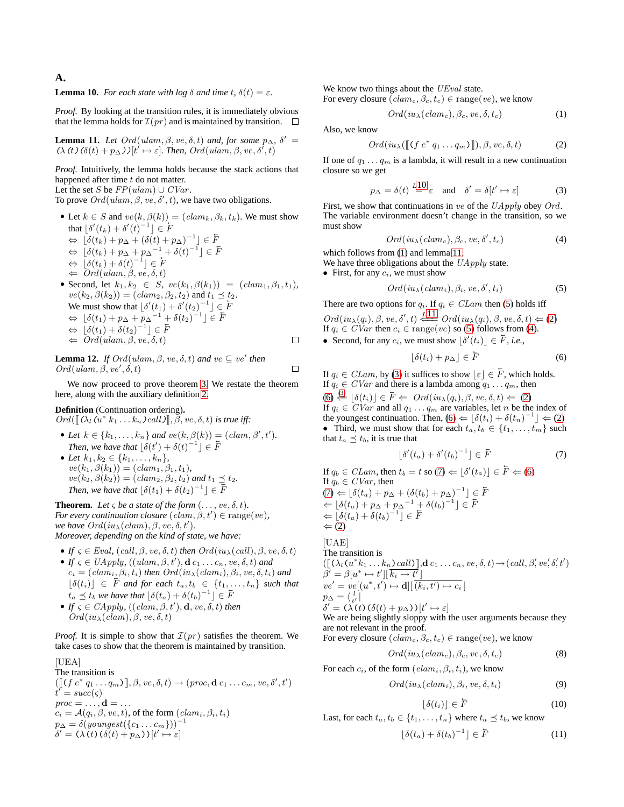<span id="page-10-0"></span>**A.**

**Lemma 10.** *For each state with log*  $\delta$  *and time t,*  $\delta(t) = \varepsilon$ *.* 

*Proof.* By looking at the transition rules, it is immediately obvious that the lemma holds for  $\mathcal{I}(pr)$  and is maintained by transition.  $\Box$ 

<span id="page-10-2"></span>**Lemma 11.** Let 
$$
Ord(ulam, \beta, ve, \delta, t)
$$
 and, for some  $p_{\Delta}$ ,  $\delta' = (\lambda(t) (\delta(t) + p_{\Delta}))[t' \mapsto \varepsilon]$ . Then,  $Ord(ulam, \beta, ve, \delta', t)$ 

*Proof.* Intuitively, the lemma holds because the stack actions that happened after time  $t$  do not matter.

Let the set S be  $FP(ulam) \cup CVar$ .

To prove  $Ord(ulam, \beta, ve, \delta', t)$ , we have two obligations.

- Let  $k \in S$  and  $ve(k, \beta(k)) = (clam_k, \beta_k, t_k)$ . We must show that  $\lfloor \delta'(t_k) + \delta'(t)^{-1} \rfloor \in \overline{F}$  $\Leftrightarrow \left[\delta(t_k) + p_\Delta + (\delta(t) + p_\Delta)^{-1}\right] \in \overline{F}$  $\Leftrightarrow \left[\delta(t_k)+p_\Delta+p_\Delta\right]^{-1}+\delta(t)^{-1}\right]\in\overline{F}$  $\Leftrightarrow \left[\delta(t_k)+\delta(t)^{-1}\right]\in \overline{F}$  $\Leftarrow$  Ord(ulam,  $\beta$ , ve,  $\delta$ , t) • Second, let  $k_1, k_2 \in S$ ,  $ve(k_1, \beta(k_1)) = (clam_1, \beta_1, t_1)$ ,  $ve(k_2, \beta(k_2)) = (clam_2, \beta_2, t_2)$  and  $t_1 \leq t_2$ .
- We must show that  $\left[\delta'(t_1) + \delta'(t_2)\right]^{-1} \in \overline{F}$  $\Leftrightarrow \ \lfloor \delta(t_1) + p_\Delta + p_\Delta \right)^{-1} + \delta(t_2)^{-1} \rfloor \in \overline{F}$  $\Leftrightarrow$   $\left[\delta(t_1)+\delta(t_2)^{-1}\right]\in\overline{F}$  $\Leftarrow$  Ord(ulam,  $\beta$ , ve,  $\delta$ , t)  $\Box$

<span id="page-10-10"></span>**Lemma 12.** *If*  $Ord(ulam, \beta, ve, \delta, t)$  *and*  $ve \subseteq ve'$  *then*  $Ord(ulam,\beta, ve',\delta,t)$ 

We now proceed to prove theorem [3.](#page-3-0) We restate the theorem here, along with the auxiliary definition [2.](#page-3-2)

**Definition** (Continuation ordering)**.**  $Ord([\![\Lambda_l(u^*\,k_1\ldots k_n)call)]\,,\beta,ve,\delta,t)$  *is true iff:* 

- Let  $k \in \{k_1, ..., k_n\}$  and  $ve(k, \beta(k)) = (clam, \beta', t').$ *Then, we have that*  $\lfloor \delta(t') + \delta(t)^{-1} \rfloor \in \overline{F}$ • Let  $k_1, k_2 \in \{k_1, \ldots, k_n\}$ ,
- $ve(k_1, \beta(k_1)) = (clam_1, \beta_1, t_1),$  $ve(k_2, \beta(k_2)) = (clam_2, \beta_2, t_2)$  *and*  $t_1 \le t_2$ *. Then, we have that*  $\lfloor \delta(t_1) + \delta(t_2)^{-1} \rfloor \in \overline{F}$

**Theorem.** Let  $\varsigma$  be a state of the form  $(\ldots, ve, \delta, t)$ . *For every continuation closure*  $(clam, \beta, t') \in \text{range}(ve)$ , *we have*  $Ord(iu_{\lambda}(clam), \beta, ve, \delta, t').$ *Moreover, depending on the kind of state, we have:*

- *If*  $\varsigma \in \text{Eval}$ ,  $(\text{call}, \beta, \text{ve}, \delta, t)$  *then*  $\text{Ord}(iu_{\lambda}(\text{call}), \beta, \text{ve}, \delta, t)$
- *If*  $\varsigma \in UApply, ((ulam, \beta, t'), \mathbf{d} c_1 \ldots c_n, ve, \delta, t)$  *and*  $c_i = (clam_i, \beta_i, t_i)$  then  $Ord(iu_\lambda(clam_i), \beta_i, ve, \delta, t_i)$  and  $\lfloor \delta(t_i) \rfloor \in \overline{F}$  and for each  $t_a, t_b \in \{t_1, \ldots, t_n\}$  such that  $t_a \preceq t_b$  we have that  $\lfloor \delta(t_a) + \delta(t_b)^{-1} \rfloor \in \overline{F}$ • *If*  $\varsigma \in CAPply$ ,  $((clam, \beta, t'), d, ve, \delta, t)$  *then*  $Ord(iu_{\lambda}(clam),\beta,ve,\delta,t)$

*Proof.* It is simple to show that  $\mathcal{I}(pr)$  satisfies the theorem. We take cases to show that the theorem is maintained by transition.

 $|UEA|$ The transition is  $([\![(f e^* q_1 \ldots q_m) \!]$ ,  $\beta$ , ve,  $\delta$ ,  $t) \rightarrow (proc, d c_1 \ldots c_m, ve, \delta', t')$  $t' = succ(\varsigma)$  $\textit{proc} = \ldots, d = \ldots$  $c_i = \mathcal{A}(q_i, \beta, ve, t)$ , of the form  $(clam_i, \beta_i, t_i)$  $p_{\Delta} = \delta(youngest({c_1 \ldots c_m}))^{-1}$  $\delta' = (\lambda(t) (\delta(t) + p_{\Delta})) [t' \mapsto \varepsilon]$ 

We know two things about the UEval state. For every closure  $\tilde{(clam_c, \beta_c, t_c)} \in \text{range}(ve)$ , we know

y 
$$
\text{cosunc}(\text{cum}_c, p_c, v_c) \in \text{range}(v_c)
$$
, we know

$$
Ord(iu_{\lambda}(clam_c), \beta_c, ve, \delta, t_c) \qquad (1)
$$

<span id="page-10-4"></span><span id="page-10-1"></span>Also, we know

 $\Box$ 

$$
Ord(iu_\lambda([\![(f e^* q_1 \ldots q_m)\!]], \beta, ve, \delta, t) \qquad (2)
$$

If one of  $q_1 \ldots q_m$  is a lambda, it will result in a new continuation closure so we get

$$
p_{\Delta} = \delta(t) \stackrel{L10}{=} \varepsilon \quad \text{and} \quad \delta' = \delta[t' \mapsto \varepsilon]
$$
 (3)

<span id="page-10-6"></span>First, we show that continuations in ve of the UApply obey Ord. The variable environment doesn't change in the transition, so we must show

$$
Ord(iu_{\lambda}(clam_c), \beta_c, ve, \delta', t_c)
$$
 (4)

<span id="page-10-5"></span>which follows from [\(1\)](#page-10-1) and lemma [11.](#page-10-2) We have three obligations about the  $UApply$  state.

• First, for any  $c_i$ , we must show

$$
Ord(iu_{\lambda}(clam_i), \beta_i, ve, \delta', t_i)
$$
\n
$$
(5)
$$

<span id="page-10-3"></span>There are two options for  $q_i$ . If  $q_i \in CLam$  then [\(5\)](#page-10-3) holds iff  $Ord(iu_\lambda(q_i),\beta,ve,\delta',t) \stackrel{L11}{\longleftarrow} Ord(iu_\lambda(q_i),\beta,ve,\delta,t) \Leftarrow (2)$  $Ord(iu_\lambda(q_i),\beta,ve,\delta',t) \stackrel{L11}{\longleftarrow} Ord(iu_\lambda(q_i),\beta,ve,\delta,t) \Leftarrow (2)$  $Ord(iu_\lambda(q_i),\beta,ve,\delta',t) \stackrel{L11}{\longleftarrow} Ord(iu_\lambda(q_i),\beta,ve,\delta,t) \Leftarrow (2)$  $Ord(iu_\lambda(q_i),\beta,ve,\delta',t) \stackrel{L11}{\longleftarrow} Ord(iu_\lambda(q_i),\beta,ve,\delta,t) \Leftarrow (2)$ If  $q_i \in \text{CVar}$  then  $c_i \in \text{range}(ve)$  so [\(5\)](#page-10-3) follows from [\(4\)](#page-10-5).

• Second, for any  $c_i$ , we must show  $\lfloor \delta'(t_i) \rfloor \in \overline{F}$ , *i.e.*,

$$
\lfloor \delta(t_i) + p_\Delta \rfloor \in \overline{F} \tag{6}
$$

<span id="page-10-7"></span>If  $q_i \in CLam$ , by [\(3\)](#page-10-6) it suffices to show  $\lfloor \varepsilon \rfloor \in \overline{F}$ , which holds. If  $q_i \in CVar$  and there is a lambda among  $q_1 \ldots q_m$ , then  $(6) \stackrel{(3)}{\leftarrow} [\delta(t_i)] \in \overline{F} \Leftarrow \text{Ord}(iu_\lambda(q_i), \beta, ve, \delta, t) \Leftarrow (2)$  $(6) \stackrel{(3)}{\leftarrow} [\delta(t_i)] \in \overline{F} \Leftarrow \text{Ord}(iu_\lambda(q_i), \beta, ve, \delta, t) \Leftarrow (2)$  $(6) \stackrel{(3)}{\leftarrow} [\delta(t_i)] \in \overline{F} \Leftarrow \text{Ord}(iu_\lambda(q_i), \beta, ve, \delta, t) \Leftarrow (2)$  $(6) \stackrel{(3)}{\leftarrow} [\delta(t_i)] \in \overline{F} \Leftarrow \text{Ord}(iu_\lambda(q_i), \beta, ve, \delta, t) \Leftarrow (2)$  $(6) \stackrel{(3)}{\leftarrow} [\delta(t_i)] \in \overline{F} \Leftarrow \text{Ord}(iu_\lambda(q_i), \beta, ve, \delta, t) \Leftarrow (2)$ If  $q_i \in \widehat{CVar}$  and all  $q_1 \ldots q_m$  are variables, let n be the index of the youngest continuation. Then,  $(6) \Leftarrow \lfloor \delta(t_i) + \delta(t_n)^{-1} \rfloor \Leftarrow (2)$  $(6) \Leftarrow \lfloor \delta(t_i) + \delta(t_n)^{-1} \rfloor \Leftarrow (2)$ • Third, we must show that for each  $t_a, t_b \in \{t_1, \ldots, t_m\}$  such that  $t_a \preceq t_b$ , it is true that

$$
\lfloor \delta'(t_a) + \delta'(t_b)^{-1} \rfloor \in \overline{F} \tag{7}
$$

<span id="page-10-8"></span>If  $q_b \in CLam$ , then  $t_b = t$  so  $(7) \Leftarrow \lfloor \delta'(t_a) \rfloor \in \overline{F} \Leftarrow (6)$  $(7) \Leftarrow \lfloor \delta'(t_a) \rfloor \in \overline{F} \Leftarrow (6)$  $(7) \Leftarrow \lfloor \delta'(t_a) \rfloor \in \overline{F} \Leftarrow (6)$ If  $q_b \in CVar$ , then  $(7) \Leftarrow \lfloor \delta(t_a) + p_\Delta + (\delta(t_b) + p_\Delta)^{-1} \rfloor \in \overline{F}$  $(7) \Leftarrow \lfloor \delta(t_a) + p_\Delta + (\delta(t_b) + p_\Delta)^{-1} \rfloor \in \overline{F}$  $\Leftrightarrow$   $\lfloor \delta(t_a) + p_\Delta + p_\Delta^{-1} + \delta(t_b)^{-1} \rfloor \in \overline{F}$  $\Leftarrow \left[\delta(t_a) + \delta(t_b)^{-1}\right] \in \overline{F}$  $\Leftarrow$  [\(2\)](#page-10-4)

[UAE] The transition is  $([\![ (\lambda_l(u^*k_1 \ldots k_n) \, \text{call}) \!]$ ,d  $c_1 \ldots c_n$ , ve,  $\delta, t) \rightarrow (\text{call}, \beta'$ , ve',  $\delta'$ , t')  $\beta' = \beta[u^* \mapsto t'][\overline{k_i \mapsto t'}]$  $ve' = ve[(u^*, t') \mapsto \mathbf{d}][\overline{(k_i, t') \mapsto c_i}]$  $p_{\Delta} = \langle \begin{smallmatrix} l \\ t' \end{smallmatrix} \rangle$  $δ' = (λ(t) (δ(t) + p<sub>Δ</sub>)) [t' \mapsto ε]$ 

We are being slightly sloppy with the user arguments because they are not relevant in the proof.

<span id="page-10-9"></span>For every closure  $(clam_c, \beta_c, t_c) \in \text{range}(ve)$ , we know

$$
Ord(iu_{\lambda}(clam_c), \beta_c, ve, \delta, t_c) \qquad \qquad (8)
$$

<span id="page-10-11"></span>For each 
$$
c_i
$$
, of the form  $(clam_i, \beta_i, t_i)$ , we know

$$
Ord(iu_{\lambda}(clam_i), \beta_i, ve, \delta, t_i)
$$
\n(9)

$$
\lfloor \delta(t_i) \rfloor \in \overline{F} \tag{10}
$$

<span id="page-10-13"></span><span id="page-10-12"></span>Last, for each  $t_a, t_b \in \{t_1, \ldots, t_n\}$  where  $t_a \preceq t_b$ , we know

$$
\lfloor \delta(t_a) + \delta(t_b)^{-1} \rfloor \in \overline{F} \tag{11}
$$